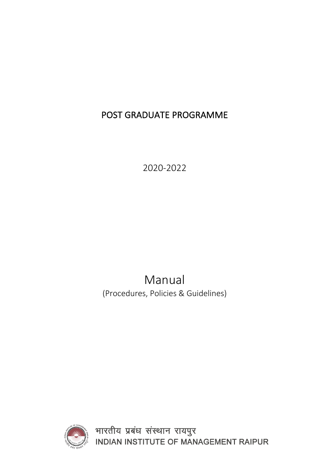# POST GRADUATE PROGRAMME

2020-2022

Manual (Procedures, Policies & Guidelines)



भारतीय प्रबंध संस्थान रायपुर<br>INDIAN INSTITUTE OF MANAGEMENT RAIPUR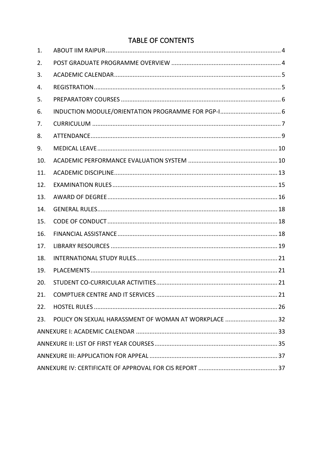### **TABLE OF CONTENTS**

| 1.  |                                                       |
|-----|-------------------------------------------------------|
| 2.  |                                                       |
| 3.  |                                                       |
| 4.  |                                                       |
| 5.  |                                                       |
| 6.  |                                                       |
| 7.  |                                                       |
| 8.  |                                                       |
| 9.  |                                                       |
| 10. |                                                       |
| 11. |                                                       |
| 12. |                                                       |
| 13. |                                                       |
| 14. |                                                       |
| 15. |                                                       |
| 16. |                                                       |
| 17. |                                                       |
| 18. |                                                       |
| 19. |                                                       |
| 20. |                                                       |
| 21. |                                                       |
| 22. |                                                       |
| 23. | POLICY ON SEXUAL HARASSMENT OF WOMAN AT WORKPLACE  32 |
|     |                                                       |
|     |                                                       |
|     |                                                       |
|     |                                                       |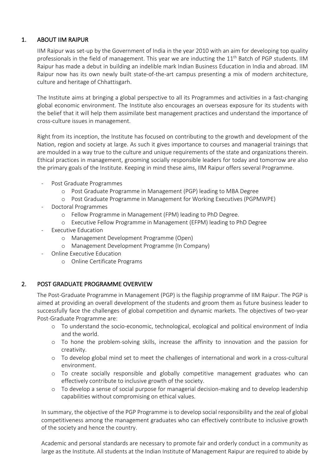#### 1. ABOUT IIM RAIPUR

IIM Raipur was set-up by the Government of India in the year 2010 with an aim for developing top quality professionals in the field of management. This year we are inducting the  $11<sup>th</sup>$  Batch of PGP students. IIM Raipur has made a debut in building an indelible mark Indian Business Education in India and abroad. IIM Raipur now has its own newly built state-of-the-art campus presenting a mix of modern architecture, culture and heritage of Chhattisgarh.

The Institute aims at bringing a global perspective to all its Programmes and activities in a fast-changing global economic environment. The Institute also encourages an overseas exposure for its students with the belief that it will help them assimilate best management practices and understand the importance of cross-culture issues in management.

Right from its inception, the Institute has focused on contributing to the growth and development of the Nation, region and society at large. As such it gives importance to courses and managerial trainings that are moulded in a way true to the culture and unique requirements of the state and organizations therein. Ethical practices in management, grooming socially responsible leaders for today and tomorrow are also the primary goals of the Institute. Keeping in mind these aims, IIM Raipur offers several Programme.

- Post Graduate Programmes
	- o Post Graduate Programme in Management (PGP) leading to MBA Degree
	- o Post Graduate Programme in Management for Working Executives (PGPMWPE)
- Doctoral Programmes
	- o Fellow Programme in Management (FPM) leading to PhD Degree.
	- o Executive Fellow Programme in Management (EFPM) leading to PhD Degree
- Executive Education
	- o Management Development Programme (Open)
	- o Management Development Programme (In Company)
- Online Executive Education
	- o Online Certificate Programs

#### 2. POST GRADUATE PROGRAMME OVERVIEW

The Post-Graduate Programme in Management (PGP) is the flagship programme of IIM Raipur. The PGP is aimed at providing an overall development of the students and groom them as future business leader to successfully face the challenges of global competition and dynamic markets. The objectives of two-year Post-Graduate Programme are:

- o To understand the socio-economic, technological, ecological and political environment of India and the world.
- o To hone the problem-solving skills, increase the affinity to innovation and the passion for creativity.
- o To develop global mind set to meet the challenges of international and work in a cross-cultural environment.
- o To create socially responsible and globally competitive management graduates who can effectively contribute to inclusive growth of the society.
- o To develop a sense of social purpose for managerial decision-making and to develop leadership capabilities without compromising on ethical values.

In summary, the objective of the PGP Programme is to develop social responsibility and the zeal of global competitiveness among the management graduates who can effectively contribute to inclusive growth of the society and hence the country.

Academic and personal standards are necessary to promote fair and orderly conduct in a community as large as the Institute. All students at the Indian Institute of Management Raipur are required to abide by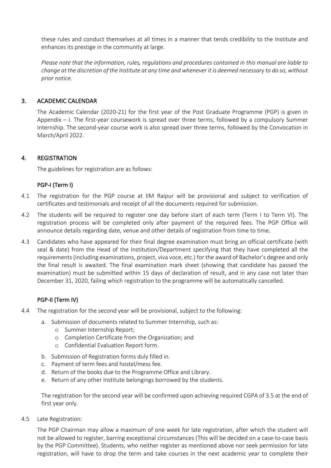these rules and conduct themselves at all times in a manner that tends credibility to the Institute and enhances its prestige in the community at large.

*Please note that the information, rules, regulations and procedures contained in this manual are liable to change at the discretion of the Institute at any time and whenever it is deemed necessary to do so, without prior notice.*

#### 3. ACADEMIC CALENDAR

The Academic Calendar (2020-21) for the first year of the Post Graduate Programme (PGP) is given in Appendix – I. The first-year coursework is spread over three terms, followed by a compulsory Summer Internship. The second-year course work is also spread over three terms, followed by the Convocation in March/April 2022.

#### 4. REGISTRATION

The guidelines for registration are as follows:

#### PGP-I (Term I)

- 4.1 The registration for the PGP course at IIM Raipur will be provisional and subject to verification of certificates and testimonials and receipt of all the documents required for submission.
- 4.2 The students will be required to register one day before start of each term (Term I to Term VI). The registration process will be completed only after payment of the required fees. The PGP Office will announce details regarding date, venue and other details of registration from time to time.
- 4.3 Candidates who have appeared for their final degree examination must bring an official certificate (with seal & date) from the Head of the Institution/Department specifying that they have completed all the requirements (including examinations, project, viva voce, etc.) for the award of Bachelor's degree and only the final result is awaited. The final examination mark sheet (showing that candidate has passed the examination) must be submitted within 15 days of declaration of result, and in any case not later than December 31, 2020, failing which registration to the programme will be automatically cancelled.

#### PGP-II (Term IV)

- 4.4 The registration for the second year will be provisional, subject to the following:
	- a. Submission of documents related to Summer Internship, such as:
		- o Summer Internship Report;
		- o Completion Certificate from the Organization; and
		- o Confidential Evaluation Report form.
	- b. Submission of Registration forms duly filled in.
	- c. Payment of term fees and hostel/mess fee.
	- d. Return of the books due to the Programme Office and Library.
	- e. Return of any other Institute belongings borrowed by the students.

The registration for the second year will be confirmed upon achieving required CGPA of 3.5 at the end of first year only.

4.5 Late Registration:

The PGP Chairman may allow a maximum of one week for late registration, after which the student will not be allowed to register, barring exceptional circumstances (This will be decided on a case-to-case basis by the PGP Committee). Students, who neither register as mentioned above nor seek permission for late registration, will have to drop the term and take courses in the next academic year to complete their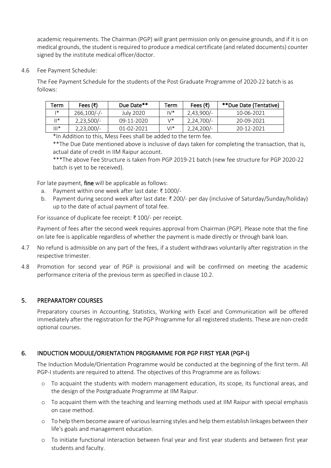academic requirements. The Chairman (PGP) will grant permission only on genuine grounds, and if it is on medical grounds, the student is required to produce a medical certificate (and related documents) counter signed by the institute medical officer/doctor.

4.6 Fee Payment Schedule:

The Fee Payment Schedule for the students of the Post Graduate Programme of 2020-22 batch is as follows:

| Term       | Fees $(₹)$   | Due Date** | Term        | Fees (₹)     | **Due Date (Tentative) |
|------------|--------------|------------|-------------|--------------|------------------------|
| $\ddot{*}$ | $266,100/-$  | July 2020  | $1\sqrt{*}$ | $2,43,900/-$ | 10-06-2021             |
| ∥*         | $2,23,500/-$ | 09-11-2020 | \/*         | $2,24,700/-$ | 20-09-2021             |
| $   *$     | $2,23,000/-$ | 01-02-2021 | VI*         | $2,24,200/-$ | 20-12-2021             |

\*In Addition to this, Mess Fees shall be added to the term fee.

\*\*The Due Date mentioned above is inclusive of days taken for completing the transaction, that is, actual date of credit in IIM Raipur account.

\*\*\*The above Fee Structure is taken from PGP 2019-21 batch (new fee structure for PGP 2020-22 batch is yet to be received).

For late payment, fine will be applicable as follows:

- a. Payment within one week after last date: ₹ 1000/-
- b. Payment during second week after last date: ₹ 200/- per day (inclusive of Saturday/Sunday/holiday) up to the date of actual payment of total fee.

For issuance of duplicate fee receipt: ₹ 100/- per receipt.

Payment of fees after the second week requires approval from Chairman (PGP). Please note that the fine on late fee is applicable regardless of whether the payment is made directly or through bank loan.

- 4.7 No refund is admissible on any part of the fees, if a student withdraws voluntarily after registration in the respective trimester.
- 4.8 Promotion for second year of PGP is provisional and will be confirmed on meeting the academic performance criteria of the previous term as specified in clause 10.2.

#### 5. PREPARATORY COURSES

Preparatory courses in Accounting, Statistics, Working with Excel and Communication will be offered immediately after the registration for the PGP Programme for all registered students. These are non-credit optional courses.

#### 6. INDUCTION MODULE/ORIENTATION PROGRAMME FOR PGP FIRST YEAR (PGP-I)

The Induction Module/Orientation Programme would be conducted at the beginning of the first term. All PGP-I students are required to attend. The objectives of this Programme are as follows:

- o To acquaint the students with modern management education, its scope, its functional areas, and the design of the Postgraduate Programme at IIM Raipur.
- o To acquaint them with the teaching and learning methods used at IIM Raipur with special emphasis on case method.
- o To help them become aware of various learning styles and help them establish linkages between their life's goals and management education.
- o To initiate functional interaction between final year and first year students and between first year students and faculty.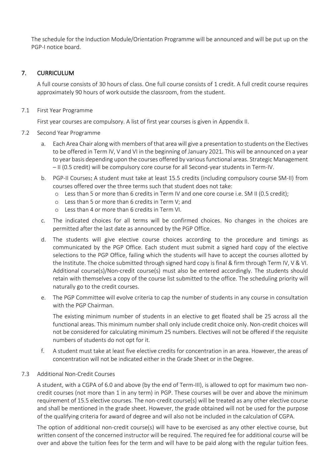The schedule for the Induction Module/Orientation Programme will be announced and will be put up on the PGP-I notice board.

#### 7. CURRICULUM

A full course consists of 30 hours of class. One full course consists of 1 credit. A full credit course requires approximately 90 hours of work outside the classroom, from the student.

#### 7.1 First Year Programme

First year courses are compulsory. A list of first year courses is given in Appendix II.

#### 7.2 Second Year Programme

- a. Each Area Chair along with members of that area will give a presentation to students on the Electives to be offered in Term IV, V and VI in the beginning of January 2021. This will be announced on a year to year basis depending upon the courses offered by various functional areas. Strategic Management – II (0.5 credit) will be compulsory core course for all Second-year students in Term-IV.
- b. PGP-II Courses: A student must take at least 15.5 credits (including compulsory course SM-II) from courses offered over the three terms such that student does not take:
	- o Less than 5 or more than 6 credits in Term IV and one core course i.e. SM II (0.5 credit);
	- o Less than 5 or more than 6 credits in Term V; and
	- o Less than 4 or more than 6 credits in Term VI.
- c. The indicated choices for all terms will be confirmed choices. No changes in the choices are permitted after the last date as announced by the PGP Office.
- d. The students will give elective course choices according to the procedure and timings as communicated by the PGP Office. Each student must submit a signed hard copy of the elective selections to the PGP Office, failing which the students will have to accept the courses allotted by the Institute. The choice submitted through signed hard copy is final & firm through Term IV, V & VI. Additional course(s)/Non-credit course(s) must also be entered accordingly. The students should retain with themselves a copy of the course list submitted to the office. The scheduling priority will naturally go to the credit courses.
- e. The PGP Committee will evolve criteria to cap the number of students in any course in consultation with the PGP Chairman.

The existing minimum number of students in an elective to get floated shall be 25 across all the functional areas. This minimum number shall only include credit choice only. Non-credit choices will not be considered for calculating minimum 25 numbers. Electives will not be offered if the requisite numbers of students do not opt for it.

f. A student must take at least five elective credits for concentration in an area. However, the areas of concentration will not be indicated either in the Grade Sheet or in the Degree.

#### 7.3 Additional Non-Credit Courses

A student, with a CGPA of 6.0 and above (by the end of Term-III), is allowed to opt for maximum two noncredit courses (not more than 1 in any term) in PGP. These courses will be over and above the minimum requirement of 15.5 elective courses. The non-credit course(s) will be treated as any other elective course and shall be mentioned in the grade sheet. However, the grade obtained will not be used for the purpose of the qualifying criteria for award of degree and will also not be included in the calculation of CGPA.

The option of additional non-credit course(s) will have to be exercised as any other elective course, but written consent of the concerned instructor will be required. The required fee for additional course will be over and above the tuition fees for the term and will have to be paid along with the regular tuition fees.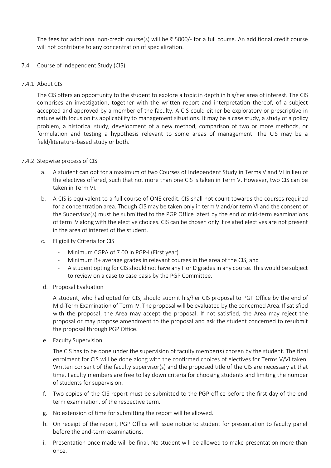The fees for additional non-credit course(s) will be ₹ 5000/- for a full course. An additional credit course will not contribute to any concentration of specialization.

#### 7.4 Course of Independent Study (CIS)

#### 7.4.1 About CIS

The CIS offers an opportunity to the student to explore a topic in depth in his/her area of interest. The CIS comprises an investigation, together with the written report and interpretation thereof, of a subject accepted and approved by a member of the faculty. A CIS could either be exploratory or prescriptive in nature with focus on its applicability to management situations. It may be a case study, a study of a policy problem, a historical study, development of a new method, comparison of two or more methods, or formulation and testing a hypothesis relevant to some areas of management. The CIS may be a field/literature-based study or both.

#### 7.4.2 Stepwise process of CIS

- a. A student can opt for a maximum of two Courses of Independent Study in Terms V and VI in lieu of the electives offered, such that not more than one CIS is taken in Term V. However, two CIS can be taken in Term VI.
- b. A CIS is equivalent to a full course of ONE credit. CIS shall not count towards the courses required for a concentration area. Though CIS may be taken only in term V and/or term VI and the consent of the Supervisor(s) must be submitted to the PGP Office latest by the end of mid-term examinations of term IV along with the elective choices. CIS can be chosen only if related electives are not present in the area of interest of the student.
- c. Eligibility Criteria for CIS
	- Minimum CGPA of 7.00 in PGP-I (First year).
	- Minimum B+ average grades in relevant courses in the area of the CIS, and
	- A student opting for CIS should not have any F or D grades in any course. This would be subject to review on a case to case basis by the PGP Committee.
- d. Proposal Evaluation

A student, who had opted for CIS, should submit his/her CIS proposal to PGP Office by the end of Mid-Term Examination of Term IV. The proposal will be evaluated by the concerned Area. If satisfied with the proposal, the Area may accept the proposal. If not satisfied, the Area may reject the proposal or may propose amendment to the proposal and ask the student concerned to resubmit the proposal through PGP Office.

e. Faculty Supervision

The CIS has to be done under the supervision of faculty member(s) chosen by the student. The final enrolment for CIS will be done along with the confirmed choices of electives for Terms V/VI taken. Written consent of the faculty supervisor(s) and the proposed title of the CIS are necessary at that time. Faculty members are free to lay down criteria for choosing students and limiting the number of students for supervision.

- f. Two copies of the CIS report must be submitted to the PGP office before the first day of the end term examination, of the respective term.
- g. No extension of time for submitting the report will be allowed.
- h. On receipt of the report, PGP Office will issue notice to student for presentation to faculty panel before the end-term examinations.
- i. Presentation once made will be final. No student will be allowed to make presentation more than once.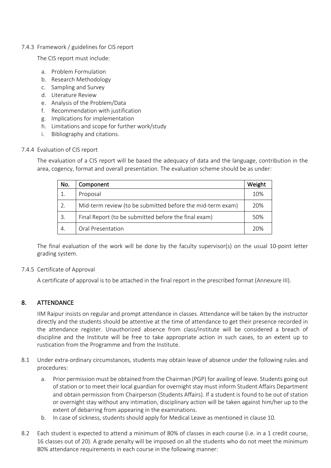#### 7.4.3 Framework / guidelines for CIS report

The CIS report must include:

- a. Problem Formulation
- b. Research Methodology
- c. Sampling and Survey
- d. Literature Review
- e. Analysis of the Problem/Data
- f. Recommendation with justification
- g. Implications for implementation
- h. Limitations and scope for further work/study
- i. Bibliography and citations.

#### 7.4.4 Evaluation of CIS report

The evaluation of a CIS report will be based the adequacy of data and the language, contribution in the area, cogency, format and overall presentation. The evaluation scheme should be as under:

| No.             | Component                                                  | Weight |
|-----------------|------------------------------------------------------------|--------|
|                 | Proposal                                                   | 10%    |
| 2.              | Mid-term review (to be submitted before the mid-term exam) | 20%    |
| 3.              | Final Report (to be submitted before the final exam)       | 50%    |
| $\mathcal{A}$ . | Oral Presentation                                          | 20%    |

The final evaluation of the work will be done by the faculty supervisor(s) on the usual 10-point letter grading system.

#### 7.4.5 Certificate of Approval

A certificate of approval is to be attached in the final report in the prescribed format (Annexure III).

#### 8. ATTENDANCE

IIM Raipur insists on regular and prompt attendance in classes. Attendance will be taken by the instructor directly and the students should be attentive at the time of attendance to get their presence recorded in the attendance register. Unauthorized absence from class/institute will be considered a breach of discipline and the Institute will be free to take appropriate action in such cases, to an extent up to rustication from the Programme and from the Institute.

- 8.1 Under extra-ordinary circumstances, students may obtain leave of absence under the following rules and procedures:
	- a. Prior permission must be obtained from the Chairman (PGP) for availing of leave. Students going out of station or to meet their local guardian for overnight stay must inform Student Affairs Department and obtain permission from Chairperson (Students Affairs). If a student is found to be out of station or overnight stay without any intimation, disciplinary action will be taken against him/her up to the extent of debarring from appearing in the examinations.
	- b. In case of sickness, students should apply for Medical Leave as mentioned in clause 10.
- 8.2 Each student is expected to attend a minimum of 80% of classes in each course (i.e. in a 1 credit course, 16 classes out of 20). A grade penalty will be imposed on all the students who do not meet the minimum 80% attendance requirements in each course in the following manner: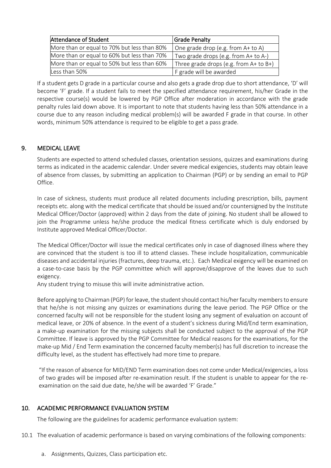| Attendance of Student                       | <b>Grade Penalty</b>                   |
|---------------------------------------------|----------------------------------------|
| More than or equal to 70% but less than 80% | One grade drop (e.g. from A+ to A)     |
| More than or equal to 60% but less than 70% | Two grade drops (e.g. from A+ to A-)   |
| More than or equal to 50% but less than 60% | Three grade drops (e.g. from A+ to B+) |
| Less than 50%                               | F grade will be awarded                |

If a student gets D grade in a particular course and also gets a grade drop due to short attendance, 'D' will become 'F' grade. If a student fails to meet the specified attendance requirement, his/her Grade in the respective course(s) would be lowered by PGP Office after moderation in accordance with the grade penalty rules laid down above. It is important to note that students having less than 50% attendance in a course due to any reason including medical problem(s) will be awarded F grade in that course. In other words, minimum 50% attendance is required to be eligible to get a pass grade.

#### 9. MEDICAL LEAVE

Students are expected to attend scheduled classes, orientation sessions, quizzes and examinations during terms as indicated in the academic calendar. Under severe medical exigencies, students may obtain leave of absence from classes, by submitting an application to Chairman (PGP) or by sending an email to PGP Office.

In case of sickness, students must produce all related documents including prescription, bills, payment receipts etc. along with the medical certificate that should be issued and/or countersigned by the Institute Medical Officer/Doctor (approved) within 2 days from the date of joining. No student shall be allowed to join the Programme unless he/she produce the medical fitness certificate which is duly endorsed by Institute approved Medical Officer/Doctor.

The Medical Officer/Doctor will issue the medical certificates only in case of diagnosed illness where they are convinced that the student is too ill to attend classes. These include hospitalization, communicable diseases and accidental injuries (fractures, deep trauma, etc.). Each Medical exigency will be examined on a case-to-case basis by the PGP committee which will approve/disapprove of the leaves due to such exigency.

Any student trying to misuse this will invite administrative action.

Before applying to Chairman (PGP) for leave, the student should contact his/her faculty members to ensure that he/she is not missing any quizzes or examinations during the leave period. The PGP Office or the concerned faculty will not be responsible for the student losing any segment of evaluation on account of medical leave, or 20% of absence. In the event of a student's sickness during Mid/End term examination, a make-up examination for the missing subjects shall be conducted subject to the approval of the PGP Committee. If leave is approved by the PGP Committee for Medical reasons for the examinations, for the make-up Mid / End Term examination the concerned faculty member(s) has full discretion to increase the difficulty level, as the student has effectively had more time to prepare.

"If the reason of absence for MID/END Term examination does not come under Medical/exigencies, a loss of two grades will be imposed after re-examination result. If the student is unable to appear for the reexamination on the said due date, he/she will be awarded 'F' Grade."

#### 10. ACADEMIC PERFORMANCE EVALUATION SYSTEM

The following are the guidelines for academic performance evaluation system:

- 10.1 The evaluation of academic performance is based on varying combinations of the following components:
	- a. Assignments, Quizzes, Class participation etc.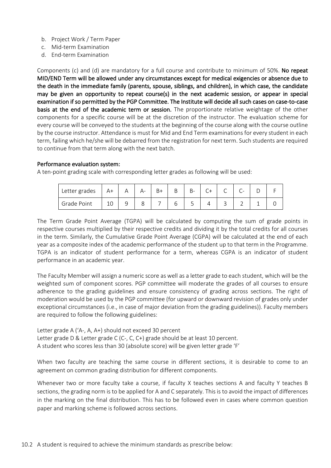- b. Project Work / Term Paper
- c. Mid-term Examination
- d. End-term Examination

Components (c) and (d) are mandatory for a full course and contribute to minimum of 50%. No repeat MID/END Term will be allowed under any circumstances except for medical exigencies or absence due to the death in the immediate family (parents, spouse, siblings, and children), in which case, the candidate may be given an opportunity to repeat course(s) in the next academic session, or appear in special examination if so permitted by the PGP Committee. The Institute will decide all such cases on case-to-case basis at the end of the academic term or session. The proportionate relative weightage of the other components for a specific course will be at the discretion of the instructor. The evaluation scheme for every course will be conveyed to the students at the beginning of the course along with the course outline by the course instructor. Attendance is must for Mid and End Term examinations for every student in each term, failing which he/she will be debarred from the registration for next term. Such students are required to continue from that term along with the next batch.

#### Performance evaluation system:

A ten-point grading scale with corresponding letter grades as following will be used:

| Letter grades |    | Δ- | B+ | B- | $\sim$<br>◡ | $\sim$<br>$\check{ }$ | $\overline{\phantom{0}}$<br>$\overline{\phantom{0}}$<br>ั |  |
|---------------|----|----|----|----|-------------|-----------------------|-----------------------------------------------------------|--|
| Grade Point   | ∸∽ | Õ  |    | ້  |             | ٮ                     |                                                           |  |

The Term Grade Point Average (TGPA) will be calculated by computing the sum of grade points in respective courses multiplied by their respective credits and dividing it by the total credits for all courses in the term. Similarly, the Cumulative Grade Point Average (CGPA) will be calculated at the end of each year as a composite index of the academic performance of the student up to that term in the Programme. TGPA is an indicator of student performance for a term, whereas CGPA is an indicator of student performance in an academic year.

The Faculty Member will assign a numeric score as well as a letter grade to each student, which will be the weighted sum of component scores. PGP committee will moderate the grades of all courses to ensure adherence to the grading guidelines and ensure consistency of grading across sections. The right of moderation would be used by the PGP committee (for upward or downward revision of grades only under exceptional circumstances (i.e., in case of major deviation from the grading guidelines)). Faculty members are required to follow the following guidelines:

Letter grade A ('A-, A, A+) should not exceed 30 percent Letter grade D & Letter grade C (C-, C, C+) grade should be at least 10 percent. A student who scores less than 30 (absolute score) will be given letter grade 'F'

When two faculty are teaching the same course in different sections, it is desirable to come to an agreement on common grading distribution for different components.

Whenever two or more faculty take a course, if faculty X teaches sections A and faculty Y teaches B sections, the grading norm is to be applied for A and C separately. This is to avoid the impact of differences in the marking on the final distribution. This has to be followed even in cases where common question paper and marking scheme is followed across sections.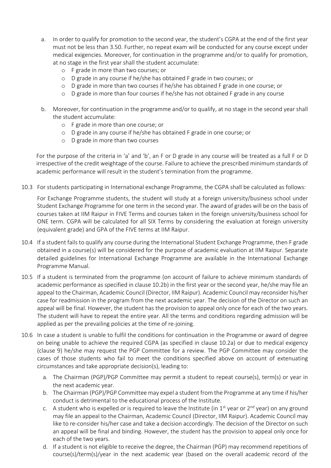- a. In order to qualify for promotion to the second year, the student's CGPA at the end of the first year must not be less than 3.50. Further, no repeat exam will be conducted for any course except under medical exigencies. Moreover, for continuation in the programme and/or to qualify for promotion, at no stage in the first year shall the student accumulate:
	- o F grade in more than two courses; or
	- o D grade in any course if he/she has obtained F grade in two courses; or
	- o D grade in more than two courses if he/she has obtained F grade in one course; or
	- o D grade in more than four courses if he/she has not obtained F grade in any course
- b. Moreover, for continuation in the programme and/or to qualify, at no stage in the second year shall the student accumulate:
	- o F grade in more than one course; or
	- o D grade in any course if he/she has obtained F grade in one course; or
	- o D grade in more than two courses

For the purpose of the criteria in 'a' and 'b', an F or D grade in any course will be treated as a full F or D irrespective of the credit weightage of the course. Failure to achieve the prescribed minimum standards of academic performance will result in the student's termination from the programme.

10.3 For students participating in International exchange Programme, the CGPA shall be calculated as follows:

For Exchange Programme students, the student will study at a foreign university/business school under Student Exchange Programme for one term in the second year. The award of grades will be on the basis of courses taken at IIM Raipur in FIVE Terms and courses taken in the foreign university/business school for ONE term. CGPA will be calculated for all SIX Terms by considering the evaluation at foreign university (equivalent grade) and GPA of the FIVE terms at IIM Raipur.

- 10.4 If a student fails to qualify any course during the International Student Exchange Programme, then F grade obtained in a course(s) will be considered for the purpose of academic evaluation at IIM Raipur. Separate detailed guidelines for International Exchange Programme are available in the International Exchange Programme Manual.
- 10.5 If a student is terminated from the programme (on account of failure to achieve minimum standards of academic performance as specified in clause 10.2b) in the first year or the second year, he/she may file an appeal to the Chairman, Academic Council (Director, IIM Raipur). Academic Council may reconsider his/her case for readmission in the program from the next academic year. The decision of the Director on such an appeal will be final. However, the student has the provision to appeal only once for each of the two years. The student will have to repeat the entire year. All the terms and conditions regarding admission will be applied as per the prevailing policies at the time of re-joining.
- 10.6 In case a student is unable to fulfil the conditions for continuation in the Programme or award of degree on being unable to achieve the required CGPA (as specified in clause 10.2a) or due to medical exigency (clause 9) he/she may request the PGP Committee for a review. The PGP Committee may consider the cases of those students who fail to meet the conditions specified above on account of extenuating circumstances and take appropriate decision(s), leading to:
	- a. The Chairman (PGP)/PGP Committee may permit a student to repeat course(s), term(s) or year in the next academic year.
	- b. The Chairman (PGP)/PGP Committee may expel a student from the Programme at any time if his/her conduct is detrimental to the educational process of the Institute.
	- c. A student who is expelled *or* is required to leave the Institute (in 1<sup>st</sup> year or 2<sup>nd</sup> year) on any ground may file an appeal to the Chairman, Academic Council (Director, IIM Raipur). Academic Council may like to re-consider his/her case and take a decision accordingly. The decision of the Director on such an appeal will be final and binding. However, the student has the provision to appeal only once for each of the two years.
	- d. If a student is not eligible to receive the degree, the Chairman (PGP) may recommend repetitions of course(s)/term(s)/year in the next academic year (based on the overall academic record of the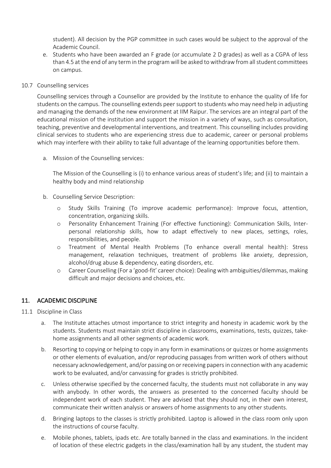student). All decision by the PGP committee in such cases would be subject to the approval of the Academic Council.

e. Students who have been awarded an F grade (or accumulate 2 D grades) as well as a CGPA of less than 4.5 at the end of any term in the program will be asked to withdraw from all student committees on campus.

#### 10.7 Counselling services

Counselling services through a Counsellor are provided by the Institute to enhance the quality of life for students on the campus. The counselling extends peer support to students who may need help in adjusting and managing the demands of the new environment at IIM Raipur. The services are an integral part of the educational mission of the institution and support the mission in a variety of ways, such as consultation, teaching, preventive and developmental interventions, and treatment. This counselling includes providing clinical services to students who are experiencing stress due to academic, career or personal problems which may interfere with their ability to take full advantage of the learning opportunities before them.

a. Mission of the Counselling services:

The Mission of the Counselling is (i) to enhance various areas of student's life; and (ii) to maintain a healthy body and mind relationship

- b. Counselling Service Description:
	- o Study Skills Training (To improve academic performance): Improve focus, attention, concentration, organizing skills.
	- o Personality Enhancement Training (For effective functioning): Communication Skills, Interpersonal relationship skills, how to adapt effectively to new places, settings, roles, responsibilities, and people.
	- o Treatment of Mental Health Problems (To enhance overall mental health): Stress management, relaxation techniques, treatment of problems like anxiety, depression, alcohol/drug abuse & dependency, eating disorders, etc.
	- o Career Counselling (For a 'good-fit' career choice): Dealing with ambiguities/dilemmas, making difficult and major decisions and choices, etc.

#### 11. ACADEMIC DISCIPLINE

#### 11.1 Discipline in Class

- a. The Institute attaches utmost importance to strict integrity and honesty in academic work by the students. Students must maintain strict discipline in classrooms, examinations, tests, quizzes, takehome assignments and all other segments of academic work.
- b. Resorting to copying or helping to copy in any form in examinations or quizzes or home assignments or other elements of evaluation, and/or reproducing passages from written work of others without necessary acknowledgement, and/or passing on or receiving papers in connection with any academic work to be evaluated, and/or canvassing for grades is strictly prohibited.
- c. Unless otherwise specified by the concerned faculty, the students must not collaborate in any way with anybody. In other words, the answers as presented to the concerned faculty should be independent work of each student. They are advised that they should not, in their own interest, communicate their written analysis or answers of home assignments to any other students.
- d. Bringing laptops to the classes is strictly prohibited. Laptop is allowed in the class room only upon the instructions of course faculty.
- e. Mobile phones, tablets, ipads etc. Are totally banned in the class and examinations. In the incident of location of these electric gadgets in the class/examination hall by any student, the student may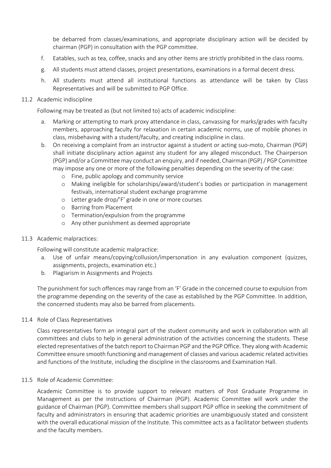be debarred from classes/examinations, and appropriate disciplinary action will be decided by chairman (PGP) in consultation with the PGP committee.

- f. Eatables, such as tea, coffee, snacks and any other items are strictly prohibited in the class rooms.
- g. All students must attend classes, project presentations, examinations in a formal decent dress.
- h. All students must attend all institutional functions as attendance will be taken by Class Representatives and will be submitted to PGP Office.

#### 11.2 Academic indiscipline

Following may be treated as (but not limited to) acts of academic indiscipline:

- a. Marking or attempting to mark proxy attendance in class, canvassing for marks/grades with faculty members, approaching faculty for relaxation in certain academic norms, use of mobile phones in class, misbehaving with a student/faculty, and creating indiscipline in class.
- b. On receiving a complaint from an instructor against a student or acting suo-moto, Chairman (PGP) shall initiate disciplinary action against any student for any alleged misconduct. The Chairperson (PGP) and/or a Committee may conduct an enquiry, and if needed, Chairman (PGP) / PGP Committee may impose any one or more of the following penalties depending on the severity of the case:
	- o Fine, public apology and community service
	- o Making ineligible for scholarships/award/student's bodies or participation in management festivals, international student exchange programme
	- o Letter grade drop/'F' grade in one or more courses
	- o Barring from Placement
	- o Termination/expulsion from the programme
	- o Any other punishment as deemed appropriate
- 11.3 Academic malpractices:

Following will constitute academic malpractice:

- a. Use of unfair means/copying/collusion/impersonation in any evaluation component (quizzes, assignments, projects, examination etc.)
- b. Plagiarism in Assignments and Projects

The punishment for such offences may range from an 'F' Grade in the concerned course to expulsion from the programme depending on the severity of the case as established by the PGP Committee. In addition, the concerned students may also be barred from placements.

11.4 Role of Class Representatives

Class representatives form an integral part of the student community and work in collaboration with all committees and clubs to help in general administration of the activities concerning the students. These elected representatives of the batch report to Chairman PGP and the PGP Office. They along with Academic Committee ensure smooth functioning and management of classes and various academic related activities and functions of the Institute, including the discipline in the classrooms and Examination Hall.

#### 11.5 Role of Academic Committee:

Academic Committee is to provide support to relevant matters of Post Graduate Programme in Management as per the instructions of Chairman (PGP). Academic Committee will work under the guidance of Chairman (PGP). Committee members shall support PGP office in seeking the commitment of faculty and administrators in ensuring that academic priorities are unambiguously stated and consistent with the overall educational mission of the Institute. This committee acts as a facilitator between students and the faculty members.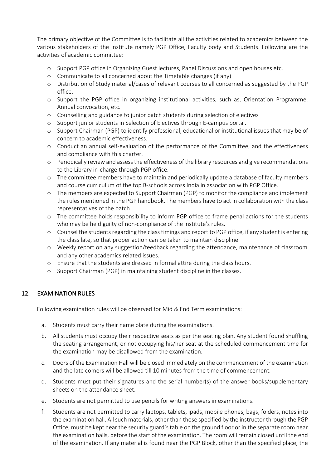The primary objective of the Committee is to facilitate all the activities related to academics between the various stakeholders of the Institute namely PGP Office, Faculty body and Students. Following are the activities of academic committee:

- o Support PGP office in Organizing Guest lectures, Panel Discussions and open houses etc.
- o Communicate to all concerned about the Timetable changes (if any)
- o Distribution of Study material/cases of relevant courses to all concerned as suggested by the PGP office.
- o Support the PGP office in organizing institutional activities, such as, Orientation Programme, Annual convocation, etc.
- o Counselling and guidance to junior batch students during selection of electives
- o Support junior students in Selection of Electives through E-campus portal.
- o Support Chairman (PGP) to identify professional, educational or institutional issues that may be of concern to academic effectiveness.
- o Conduct an annual self-evaluation of the performance of the Committee, and the effectiveness and compliance with this charter.
- o Periodically review and assess the effectiveness of the library resources and give recommendations to the Library in-charge through PGP office.
- o The committee members have to maintain and periodically update a database of faculty members and course curriculum of the top B-schools across India in association with PGP Office.
- o The members are expected to Support Chairman (PGP) to monitor the compliance and implement the rules mentioned in the PGP handbook. The members have to act in collaboration with the class representatives of the batch.
- o The committee holds responsibility to inform PGP office to frame penal actions for the students who may be held guilty of non-compliance of the institute's rules.
- o Counsel the students regarding the class timings and report to PGP office, if any student is entering the class late, so that proper action can be taken to maintain discipline.
- o Weekly report on any suggestion/feedback regarding the attendance, maintenance of classroom and any other academics related issues.
- o Ensure that the students are dressed in formal attire during the class hours.
- o Support Chairman (PGP) in maintaining student discipline in the classes.

#### 12. EXAMINATION RULES

Following examination rules will be observed for Mid & End Term examinations:

- a. Students must carry their name plate during the examinations.
- b. All students must occupy their respective seats as per the seating plan. Any student found shuffling the seating arrangement, or not occupying his/her seat at the scheduled commencement time for the examination may be disallowed from the examination.
- c. Doors of the Examination Hall will be closed immediately on the commencement of the examination and the late comers will be allowed till 10 minutes from the time of commencement.
- d. Students must put their signatures and the serial number(s) of the answer books/supplementary sheets on the attendance sheet.
- e. Students are not permitted to use pencils for writing answers in examinations.
- f. Students are not permitted to carry laptops, tablets, ipads, mobile phones, bags, folders, notes into the examination hall. All such materials, other than those specified by the instructor through the PGP Office, must be kept near the security guard's table on the ground floor or in the separate room near the examination halls, before the start of the examination. The room will remain closed until the end of the examination. If any material is found near the PGP Block, other than the specified place, the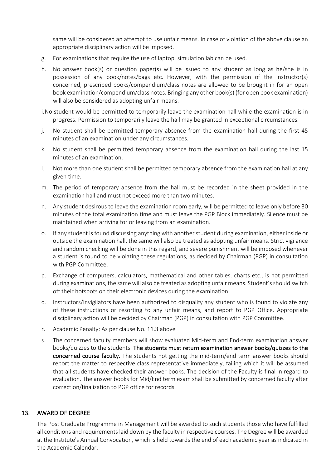same will be considered an attempt to use unfair means. In case of violation of the above clause an appropriate disciplinary action will be imposed.

- g. For examinations that require the use of laptop, simulation lab can be used.
- h. No answer book(s) or question paper(s) will be issued to any student as long as he/she is in possession of any book/notes/bags etc. However, with the permission of the Instructor(s) concerned, prescribed books/compendium/class notes are allowed to be brought in for an open book examination/compendium/class notes. Bringing any other book(s) (for open book examination) will also be considered as adopting unfair means.
- i.No student would be permitted to temporarily leave the examination hall while the examination is in progress. Permission to temporarily leave the hall may be granted in exceptional circumstances.
- j. No student shall be permitted temporary absence from the examination hall during the first 45 minutes of an examination under any circumstances.
- k. No student shall be permitted temporary absence from the examination hall during the last 15 minutes of an examination.
- l. Not more than one student shall be permitted temporary absence from the examination hall at any given time.
- m. The period of temporary absence from the hall must be recorded in the sheet provided in the examination hall and must not exceed more than two minutes.
- n. Any student desirous to leave the examination room early, will be permitted to leave only before 30 minutes of the total examination time and must leave the PGP Block immediately. Silence must be maintained when arriving for or leaving from an examination.
- o. If any student is found discussing anything with another student during examination, either inside or outside the examination hall, the same will also be treated as adopting unfair means. Strict vigilance and random checking will be done in this regard, and severe punishment will be imposed whenever a student is found to be violating these regulations, as decided by Chairman (PGP) in consultation with PGP Committee.
- p. Exchange of computers, calculators, mathematical and other tables, charts etc., is not permitted during examinations, the same will also be treated as adopting unfair means. Student's should switch off their hotspots on their electronic devices during the examination.
- q. Instructors/Invigilators have been authorized to disqualify any student who is found to violate any of these instructions or resorting to any unfair means, and report to PGP Office. Appropriate disciplinary action will be decided by Chairman (PGP) in consultation with PGP Committee.
- r. Academic Penalty: As per clause No. 11.3 above
- s. The concerned faculty members will show evaluated Mid-term and End-term examination answer books/quizzes to the students. The students must return examination answer books/quizzes to the concerned course faculty. The students not getting the mid-term/end term answer books should report the matter to respective class representative immediately, failing which it will be assumed that all students have checked their answer books. The decision of the Faculty is final in regard to evaluation. The answer books for Mid/End term exam shall be submitted by concerned faculty after correction/finalization to PGP office for records.

#### 13. AWARD OF DEGREE

The Post Graduate Programme in Management will be awarded to such students those who have fulfilled all conditions and requirements laid down by the faculty in respective courses. The Degree will be awarded at the Institute's Annual Convocation, which is held towards the end of each academic year as indicated in the Academic Calendar.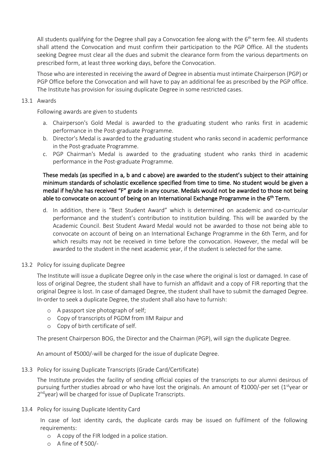All students qualifying for the Degree shall pay a Convocation fee along with the 6<sup>th</sup> term fee. All students shall attend the Convocation and must confirm their participation to the PGP Office. All the students seeking Degree must clear all the dues and submit the clearance form from the various departments on prescribed form, at least three working days, before the Convocation.

Those who are interested in receiving the award of Degree in absentia must intimate Chairperson (PGP) or PGP Office before the Convocation and will have to pay an additional fee as prescribed by the PGP office. The Institute has provision for issuing duplicate Degree in some restricted cases.

#### 13.1 Awards

Following awards are given to students

- a. Chairperson's Gold Medal is awarded to the graduating student who ranks first in academic performance in the Post-graduate Programme.
- b. Director's Medal is awarded to the graduating student who ranks second in academic performance in the Post-graduate Programme.
- c. PGP Chairman's Medal is awarded to the graduating student who ranks third in academic performance in the Post-graduate Programme.

#### These medals (as specified in a, b and c above) are awarded to the student's subject to their attaining minimum standards of scholastic excellence specified from time to time. No student would be given a medal if he/she has received "F" grade in any course. Medals would not be awarded to those not being able to convocate on account of being on an International Exchange Programme in the 6<sup>th</sup> Term.

d. In addition, there is "Best Student Award" which is determined on academic and co-curricular performance and the student's contribution to institution building. This will be awarded by the Academic Council. Best Student Award Medal would not be awarded to those not being able to convocate on account of being on an International Exchange Programme in the 6th Term, and for which results may not be received in time before the convocation. However, the medal will be awarded to the student in the next academic year, if the student is selected for the same.

#### 13.2 Policy for issuing duplicate Degree

The Institute will issue a duplicate Degree only in the case where the original is lost or damaged. In case of loss of original Degree, the student shall have to furnish an affidavit and a copy of FIR reporting that the original Degree is lost. In case of damaged Degree, the student shall have to submit the damaged Degree. In-order to seek a duplicate Degree, the student shall also have to furnish:

- o A passport size photograph of self;
- o Copy of transcripts of PGDM from IIM Raipur and
- o Copy of birth certificate of self.

The present Chairperson BOG, the Director and the Chairman (PGP), will sign the duplicate Degree.

An amount of ₹5000/-will be charged for the issue of duplicate Degree.

13.3 Policy for issuing Duplicate Transcripts (Grade Card/Certificate)

The Institute provides the facility of sending official copies of the transcripts to our alumni desirous of pursuing further studies abroad or who have lost the originals. An amount of ₹1000/-per set (1<sup>st</sup>year or 2<sup>nd</sup> year) will be charged for issue of Duplicate Transcripts.

13.4 Policy for issuing Duplicate Identity Card

In case of lost identity cards, the duplicate cards may be issued on fulfilment of the following requirements:

- o A copy of the FIR lodged in a police station.
- o A fine of ₹ 500/-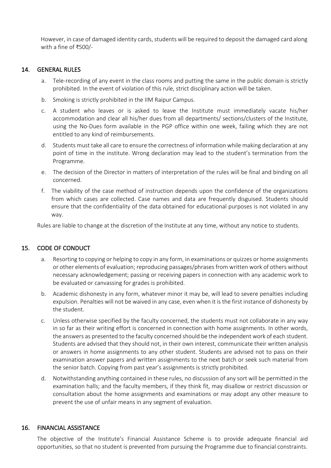However, in case of damaged identity cards, students will be required to deposit the damaged card along with a fine of ₹500/-

#### 14. GENERAL RULES

- a. Tele-recording of any event in the class rooms and putting the same in the public domain is strictly prohibited. In the event of violation of this rule, strict disciplinary action will be taken.
- b. Smoking is strictly prohibited in the IIM Raipur Campus.
- c. A student who leaves or is asked to leave the Institute must immediately vacate his/her accommodation and clear all his/her dues from all departments/ sections/clusters of the Institute, using the No-Dues form available in the PGP office within one week, failing which they are not entitled to any kind of reimbursements.
- d. Students must take all care to ensure the correctness of information while making declaration at any point of time in the institute. Wrong declaration may lead to the student's termination from the Programme.
- e. The decision of the Director in matters of interpretation of the rules will be final and binding on all concerned.
- f. The viability of the case method of instruction depends upon the confidence of the organizations from which cases are collected. Case names and data are frequently disguised. Students should ensure that the confidentiality of the data obtained for educational purposes is not violated in any way.

Rules are liable to change at the discretion of the Institute at any time, without any notice to students.

#### 15. CODE OF CONDUCT

- a. Resorting to copying or helping to copy in any form, in examinations or quizzes or home assignments or other elements of evaluation; reproducing passages/phrases from written work of others without necessary acknowledgement; passing or receiving papers in connection with any academic work to be evaluated or canvassing for grades is prohibited.
- b. Academic dishonesty in any form, whatever minor it may be, will lead to severe penalties including expulsion. Penalties will not be waived in any case, even when it is the first instance of dishonesty by the student.
- c. Unless otherwise specified by the faculty concerned, the students must not collaborate in any way in so far as their writing effort is concerned in connection with home assignments. In other words, the answers as presented to the faculty concerned should be the independent work of each student. Students are advised that they should not, in their own interest, communicate their written analysis or answers in home assignments to any other student. Students are advised not to pass on their examination answer papers and written assignments to the next batch or seek such material from the senior batch. Copying from past year's assignments is strictly prohibited.
- d. Notwithstanding anything contained in these rules, no discussion of any sort will be permitted in the examination halls; and the faculty members, if they think fit, may disallow or restrict discussion or consultation about the home assignments and examinations or may adopt any other measure to prevent the use of unfair means in any segment of evaluation.

#### 16. FINANCIAL ASSISTANCE

The objective of the Institute's Financial Assistance Scheme is to provide adequate financial aid opportunities, so that no student is prevented from pursuing the Programme due to financial constraints.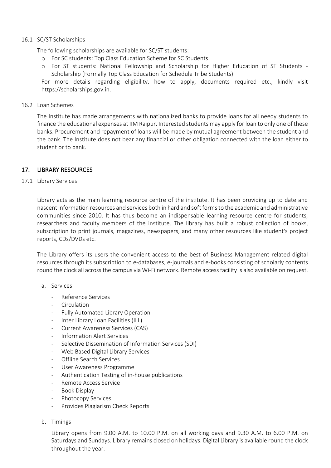#### 16.1 SC/ST Scholarships

The following scholarships are available for SC/ST students:

- o For SC students: Top Class Education Scheme for SC Students
- o For ST students: National Fellowship and Scholarship for Higher Education of ST Students Scholarship (Formally Top Class Education for Schedule Tribe Students)

For more details regarding eligibility, how to apply, documents required etc., kindly visit https://scholarships.gov.in.

#### 16.2 Loan Schemes

The Institute has made arrangements with nationalized banks to provide loans for all needy students to finance the educational expenses at IIM Raipur. Interested students may apply for loan to only one of these banks. Procurement and repayment of loans will be made by mutual agreement between the student and the bank. The Institute does not bear any financial or other obligation connected with the loan either to student or to bank.

#### 17. LIBRARY RESOURCES

#### 17.1 Library Services

Library acts as the main learning resource centre of the institute. It has been providing up to date and nascent information resources and services both in hard and soft forms to the academic and administrative communities since 2010. It has thus become an indispensable learning resource centre for students, researchers and faculty members of the institute. The library has built a robust collection of books, subscription to print journals, magazines, newspapers, and many other resources like student's project reports, CDs/DVDs etc.

The Library offers its users the convenient access to the best of Business Management related digital resources through its subscription to e-databases, e-journals and e-books consisting of scholarly contents round the clock all across the campus via Wi-Fi network. Remote access facility is also available on request.

- a. Services
	- Reference Services
	- Circulation
	- Fully Automated Library Operation
	- Inter Library Loan Facilities (ILL)
	- Current Awareness Services (CAS)
	- Information Alert Services
	- Selective Dissemination of Information Services (SDI)
	- Web Based Digital Library Services
	- Offline Search Services
	- User Awareness Programme
	- Authentication Testing of in-house publications
	- Remote Access Service
	- Book Display
	- Photocopy Services
	- Provides Plagiarism Check Reports
- b. Timings

Library opens from 9.00 A.M. to 10.00 P.M. on all working days and 9.30 A.M. to 6.00 P.M. on Saturdays and Sundays. Library remains closed on holidays. Digital Library is available round the clock throughout the year.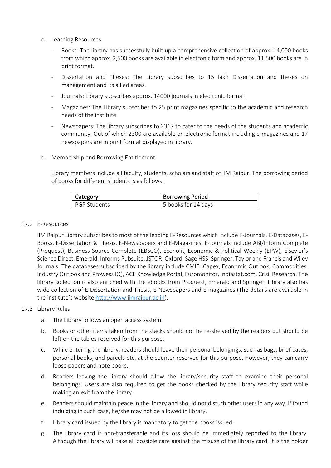- c. Learning Resources
	- Books: The library has successfully built up a comprehensive collection of approx. 14,000 books from which approx. 2,500 books are available in electronic form and approx. 11,500 books are in print format.
	- Dissertation and Theses: The Library subscribes to 15 lakh Dissertation and theses on management and its allied areas.
	- Journals: Library subscribes approx. 14000 journals in electronic format.
	- Magazines: The Library subscribes to 25 print magazines specific to the academic and research needs of the institute.
	- Newspapers: The library subscribes to 2317 to cater to the needs of the students and academic community. Out of which 2300 are available on electronic format including e-magazines and 17 newspapers are in print format displayed in library.
- d. Membership and Borrowing Entitlement

Library members include all faculty, students, scholars and staff of IIM Raipur. The borrowing period of books for different students is as follows:

| Category     | <b>Borrowing Period</b> |
|--------------|-------------------------|
| PGP Students | 5 books for 14 days     |

#### 17.2 E-Resources

IIM Raipur Library subscribes to most of the leading E-Resources which include E-Journals, E-Databases, E-Books, E-Dissertation & Thesis, E-Newspapers and E-Magazines. E-Journals include ABI/Inform Complete (Proquest), Business Source Complete (EBSCO), Econolit, Economic & Political Weekly (EPW), Elsevier's Science Direct, Emerald, Informs Pubsuite, JSTOR, Oxford, Sage HSS, Springer, Taylor and Francis and Wiley Journals. The databases subscribed by the library include CMIE (Capex, Economic Outlook, Commodities, Industry Outlook and Prowess IQ), ACE Knowledge Portal, Euromonitor, Indiastat.com, Crisil Research. The library collection is also enriched with the ebooks from Proquest, Emerald and Springer. Library also has wide collection of E-Dissertation and Thesis, E-Newspapers and E-magazines (The details are available in the institute's website http://www.iimraipur.ac.in).

#### 17.3 Library Rules

- a. The Library follows an open access system.
- b. Books or other items taken from the stacks should not be re-shelved by the readers but should be left on the tables reserved for this purpose.
- c. While entering the library, readers should leave their personal belongings, such as bags, brief-cases, personal books, and parcels etc. at the counter reserved for this purpose. However, they can carry loose papers and note books.
- d. Readers leaving the library should allow the library/security staff to examine their personal belongings. Users are also required to get the books checked by the library security staff while making an exit from the library.
- e. Readers should maintain peace in the library and should not disturb other users in any way. If found indulging in such case, he/she may not be allowed in library.
- f. Library card issued by the library is mandatory to get the books issued.
- g. The library card is non-transferable and its loss should be immediately reported to the library. Although the library will take all possible care against the misuse of the library card, it is the holder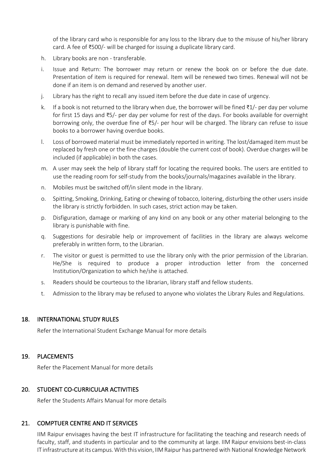of the library card who is responsible for any loss to the library due to the misuse of his/her library card. A fee of ₹500/- will be charged for issuing a duplicate library card.

- h. Library books are non transferable.
- i. Issue and Return: The borrower may return or renew the book on or before the due date. Presentation of item is required for renewal. Item will be renewed two times. Renewal will not be done if an item is on demand and reserved by another user.
- j. Library has the right to recall any issued item before the due date in case of urgency.
- k. If a book is not returned to the library when due, the borrower will be fined ₹1/- per day per volume for first 15 days and ₹5/- per day per volume for rest of the days. For books available for overnight borrowing only, the overdue fine of ₹5/- per hour will be charged. The library can refuse to issue books to a borrower having overdue books.
- l. Loss of borrowed material must be immediately reported in writing. The lost/damaged item must be replaced by fresh one or the fine charges (double the current cost of book). Overdue charges will be included (if applicable) in both the cases.
- m. A user may seek the help of library staff for locating the required books. The users are entitled to use the reading room for self-study from the books/journals/magazines available in the library.
- n. Mobiles must be switched off/in silent mode in the library.
- o. Spitting, Smoking, Drinking, Eating or chewing of tobacco, loitering, disturbing the other users inside the library is strictly forbidden. In such cases, strict action may be taken.
- p. Disfiguration, damage or marking of any kind on any book or any other material belonging to the library is punishable with fine.
- q. Suggestions for desirable help or improvement of facilities in the library are always welcome preferably in written form, to the Librarian.
- r. The visitor or guest is permitted to use the library only with the prior permission of the Librarian. He/She is required to produce a proper introduction letter from the concerned Institution/Organization to which he/she is attached.
- s. Readers should be courteous to the librarian, library staff and fellow students.
- t. Admission to the library may be refused to anyone who violates the Library Rules and Regulations.

#### 18. INTERNATIONAL STUDY RULES

Refer the International Student Exchange Manual for more details

#### 19. PLACEMENTS

Refer the Placement Manual for more details

#### 20. STUDENT CO-CURRICULAR ACTIVITIES

Refer the Students Affairs Manual for more details

#### 21. COMPTUER CENTRE AND IT SERVICES

IIM Raipur envisages having the best IT infrastructure for facilitating the teaching and research needs of faculty, staff, and students in particular and to the community at large. IIM Raipur envisions best-in-class IT infrastructure at its campus. With this vision, IIM Raipur has partnered with National Knowledge Network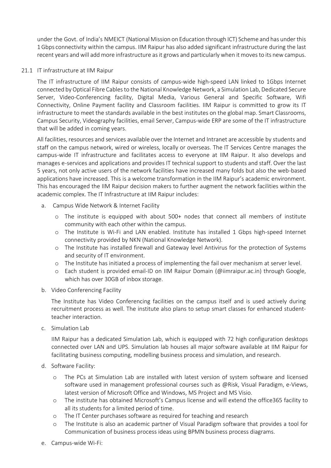under the Govt. of India's NMEICT (National Mission on Education through ICT) Scheme and has under this 1Gbps connectivity within the campus. IIM Raipur has also added significant infrastructure during the last recent years and will add more infrastructure as it grows and particularly when it moves to its new campus.

#### 21.1 IT infrastructure at IIM Raipur

The IT infrastructure of IIM Raipur consists of campus-wide high-speed LAN linked to 1Gbps Internet connected by Optical Fibre Cables to the National Knowledge Network, a Simulation Lab, Dedicated Secure Server, Video-Conferencing facility, Digital Media, Various General and Specific Software, Wifi Connectivity, Online Payment facility and Classroom facilities. IIM Raipur is committed to grow its IT infrastructure to meet the standards available in the best institutes on the global map. Smart Classrooms, Campus Security, Videography facilities, email Server, Campus-wide ERP are some of the IT infrastructure that will be added in coming years.

All facilities, resources and services available over the Internet and Intranet are accessible by students and staff on the campus network, wired or wireless, locally or overseas. The IT Services Centre manages the campus-wide IT infrastructure and facilitates access to everyone at IIM Raipur. It also develops and manages e-services and applications and provides IT technical support to students and staff. Over the last 5 years, not only active users of the network facilities have increased many folds but also the web-based applications have increased. This is a welcome transformation in the IIM Raipur's academic environment. This has encouraged the IIM Raipur decision makers to further augment the network facilities within the academic complex. The IT Infrastructure at IIM Raipur includes:

- a. Campus Wide Network & Internet Facility
	- o The institute is equipped with about 500+ nodes that connect all members of institute community with each other within the campus.
	- o The Institute is Wi-Fi and LAN enabled. Institute has installed 1 Gbps high-speed Internet connectivity provided by NKN (National Knowledge Network).
	- o The Institute has installed firewall and Gateway level Antivirus for the protection of Systems and security of IT environment.
	- o The Institute has initiated a process of implementing the fail over mechanism at server level.
	- o Each student is provided email-ID on IIM Raipur Domain (@iimraipur.ac.in) through Google, which has over 30GB of inbox storage.
- b. Video Conferencing Facility

The Institute has Video Conferencing facilities on the campus itself and is used actively during recruitment process as well. The institute also plans to setup smart classes for enhanced studentteacher interaction.

c. Simulation Lab

IIM Raipur has a dedicated Simulation Lab, which is equipped with 72 high configuration desktops connected over LAN and UPS. Simulation lab houses all major software available at IIM Raipur for facilitating business computing, modelling business process and simulation, and research.

- d. Software Facility:
	- o The PCs at Simulation Lab are installed with latest version of system software and licensed software used in management professional courses such as @Risk, Visual Paradigm, e-Views, latest version of Microsoft Office and Windows, MS Project and MS Visio.
	- o The institute has obtained Microsoft's Campus license and will extend the office365 facility to all its students for a limited period of time.
	- o The IT Center purchases software as required for teaching and research
	- o The Institute is also an academic partner of Visual Paradigm software that provides a tool for Communication of business process ideas using BPMN business process diagrams.
- e. Campus-wide Wi-Fi: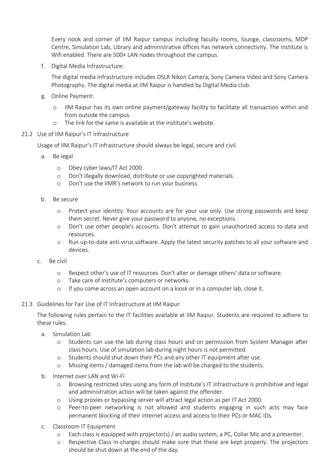Every nook and corner of IIM Raipur campus including faculty rooms, lounge, classrooms, MDP Centre, Simulation Lab, Library and administrative offices has network connectivity. The Institute is Wifi enabled. There are 500+ LAN nodes throughout the campus.

f. Digital Media Infrastructure:

The digital media infrastructure includes DSLR Nikon Camera, Sony Camera Video and Sony Camera Photography. The digital media at IIM Raipur is handled by Digital Media club.

- g. Online Payment:
	- o IIM Raipur has its own online payment/gateway facility to facilitate all transaction within and from outside the campus.
	- o The link for the same is available at the institute's website.
- 21.2 Use of IIM Raipur's IT Infrastructure

Usage of IIM Raipur's IT infrastructure should always be legal, secure and civil.

- a. Be legal
	- o Obey cyber laws/IT Act 2000.
	- o Don't illegally download, distribute or use copyrighted materials.
	- o Don't use the IIMR's network to run your business.
- b. Be secure
	- o Protect your identity. Your accounts are for your use only. Use strong passwords and keep them secret. Never give your password to anyone, no exceptions.
	- o Don't use other people's accounts. Don't attempt to gain unauthorized access to data and resources.
	- o Run up-to-date anti-virus software. Apply the latest security patches to all your software and devices.
- c. Be civil
	- o Respect other's use of IT resources. Don't alter or damage others' data or software.
	- o Take care of Institute's computers or networks.
	- o If you come across an open account on a kiosk or in a computer lab, close it.
- 21.3 Guidelines for Fair Use of IT Infrastructure at IIM Raipur

The following rules pertain to the IT facilities available at IIM Raipur. Students are required to adhere to these rules.

- a. Simulation Lab
	- o Students can use the lab during class hours and on permission from System Manager after class hours. Use of simulation lab during night hours is not permitted.
	- o Students should shut down their PCs and any other IT equipment after use.
	- o Missing items / damaged items from the lab will be charged to the students.
- b. Internet over LAN and Wi-Fi
	- o Browsing restricted sites using any form of Institute's IT infrastructure is prohibitive and legal and administration action will be taken against the offender.
	- o Using proxies or bypassing server will attract legal action as per IT Act 2000.
	- o Peer-to-peer networking is not allowed and students engaging in such acts may face permanent blocking of their internet access and access to their PCs or MAC IDs.
- c. Classroom IT Equipment
	- o Each class is equipped with projector(s) / an audio system, a PC, Collar Mic and a presenter.
	- o Respective Class in-charges should make sure that these are kept properly. The projectors should be shut down at the end of the day.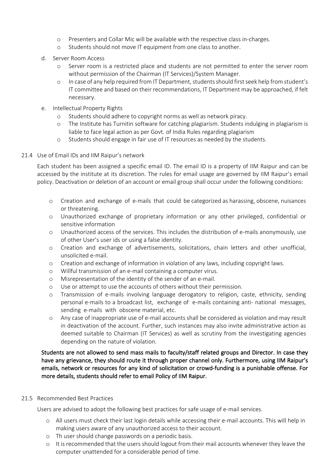- o Presenters and Collar Mic will be available with the respective class in-charges.
- o Students should not move IT equipment from one class to another.
- d. Server Room Access
	- o Server room is a restricted place and students are not permitted to enter the server room without permission of the Chairman (IT Services)/System Manager.
	- o In case of any help required from IT Department, students should first seek help from student's IT committee and based on their recommendations, IT Department may be approached, if felt necessary.
- e. Intellectual Property Rights
	- o Students should adhere to copyright norms as well as network piracy.
	- o The Institute has Turnitin software for catching plagiarism. Students indulging in plagiarism is liable to face legal action as per Govt. of India Rules regarding plagiarism
	- o Students should engage in fair use of IT resources as needed by the students.

#### 21.4 Use of Email IDs and IIM Raipur's network

Each student has been assigned a specific email ID. The email ID is a property of IIM Raipur and can be accessed by the institute at its discretion. The rules for email usage are governed by IIM Raipur's email policy. Deactivation or deletion of an account or email group shall occur under the following conditions:

- o Creation and exchange of e-mails that could be categorized as harassing, obscene, nuisances or threatening.
- o Unauthorized exchange of proprietary information or any other privileged, confidential or sensitive information
- o Unauthorized access of the services. This includes the distribution of e-mails anonymously, use of other User's user ids or using a false identity.
- o Creation and exchange of advertisements, solicitations, chain letters and other unofficial, unsolicited e-mail.
- o Creation and exchange of information in violation of any laws, including copyright laws.
- o Willful transmission of an e-mail containing a computer virus.
- o Misrepresentation of the identity of the sender of an e-mail.
- o Use or attempt to use the accounts of others without their permission.
- o Transmission of e-mails involving language derogatory to religion, caste, ethnicity, sending personal e-mails to a broadcast list, exchange of e-mails containing anti- national messages, sending e-mails with obscene material, etc.
- o Any case of inappropriate use of e-mail accounts shall be considered as violation and may result in deactivation of the account. Further, such instances may also invite administrative action as deemed suitable to Chairman (IT Services) as well as scrutiny from the investigating agencies depending on the nature of violation.

#### Students are not allowed to send mass mails to faculty/staff related groups and Director. In case they have any grievance, they should route it through proper channel only. Furthermore, using IIM Raipur's emails, network or resources for any kind of solicitation or crowd-funding is a punishable offense. For more details, students should refer to email Policy of IIM Raipur.

#### 21.5 Recommended Best Practices

Users are advised to adopt the following best practices for safe usage of e-mail services.

- o All users must check their last login details while accessing their e-mail accounts. This will help in making users aware of any unauthorized access to their account.
- o Th user should change passwords on a periodic basis.
- o It is recommended that the users should logout from their mail accounts whenever they leave the computer unattended for a considerable period of time.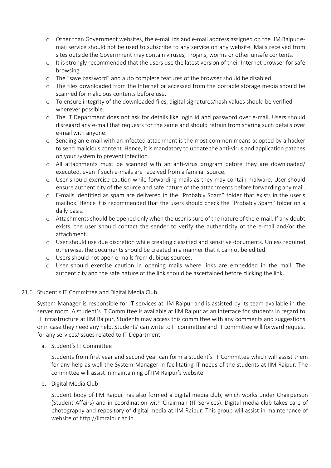- o Other than Government websites, the e-mail ids and e-mail address assigned on the IIM Raipur email service should not be used to subscribe to any service on any website. Mails received from sites outside the Government may contain viruses, Trojans, worms or other unsafe contents.
- o It is strongly recommended that the users use the latest version of their Internet browser for safe browsing.
- o The "save password" and auto complete features of the browser should be disabled.
- o The files downloaded from the Internet or accessed from the portable storage media should be scanned for malicious contents before use.
- o To ensure integrity of the downloaded files, digital signatures/hash values should be verified wherever possible.
- o The IT Department does not ask for details like login id and password over e-mail. Users should disregard any e-mail that requests for the same and should refrain from sharing such details over e-mail with anyone.
- o Sending an e-mail with an infected attachment is the most common means adopted by a hacker to send malicious content. Hence, it is mandatory to update the anti-virus and application patches on your system to prevent infection.
- o All attachments must be scanned with an anti-virus program before they are downloaded/ executed, even if such e-mails are received from a familiar source.
- o User should exercise caution while forwarding mails as they may contain malware. User should ensure authenticity of the source and safe nature of the attachments before forwarding any mail.
- o E-mails identified as spam are delivered in the "Probably Spam" folder that exists in the user's mailbox. Hence it is recommended that the users should check the "Probably Spam" folder on a daily basis.
- o Attachments should be opened only when the user is sure of the nature of the e-mail. If any doubt exists, the user should contact the sender to verify the authenticity of the e-mail and/or the attachment.
- o User should use due discretion while creating classified and sensitive documents. Unless required otherwise, the documents should be created in a manner that it cannot be edited.
- o Users should not open e-mails from dubious sources.
- o User should exercise caution in opening mails where links are embedded in the mail. The authenticity and the safe nature of the link should be ascertained before clicking the link.

#### 21.6 Student's IT Committee and Digital Media Club

System Manager is responsible for IT services at IIM Raipur and is assisted by its team available in the server room. A student's IT Committee is available at IIM Raipur as an interface for students in regard to IT infrastructure at IIM Raipur. Students may access this committee with any comments and suggestions or in case they need any help. Students' can write to IT committee and IT committee will forward request for any services/issues related to IT Department.

a. Student's IT Committee

Students from first year and second year can form a student's IT Committee which will assist them for any help as well the System Manager in facilitating IT needs of the students at IIM Raipur. The committee will assist in maintaining of IIM Raipur's website.

b. Digital Media Club

Student body of IIM Raipur has also formed a digital media club, which works under Chairperson (Student Affairs) and in coordination with Chairman (IT Services). Digital media club takes care of photography and repository of digital media at IIM Raipur. This group will assist in maintenance of website of http://iimraipur.ac.in.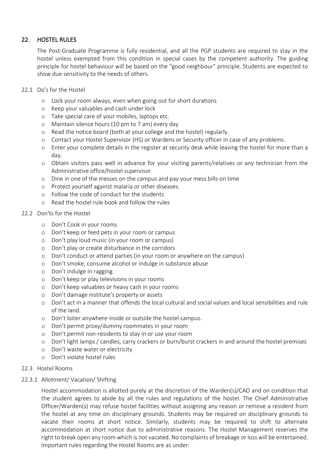#### 22. HOSTEL RULES

The Post-Graduate Programme is fully residential, and all the PGP students are required to stay in the hostel unless exempted from this condition in special cases by the competent authority. The guiding principle for hostel behaviour will be based on the "good neighbour" principle. Students are expected to show due sensitivity to the needs of others.

- 22.1 Do's for the Hostel
	- o Lock your room always, even when going out for short durations
	- o Keep your valuables and cash under lock
	- o Take special care of your mobiles, laptops etc.
	- o Maintain silence hours (10 pm to 7 am) every day
	- o Read the notice board (both at your college and the hostel) regularly.
	- o Contact your Hostel Supervisor (HS) or Wardens or Security officer in case of any problems.
	- o Enter your complete details in the register at security desk while leaving the hostel for more than a day.
	- o Obtain visitors pass well in advance for your visiting parents/relatives or any technician from the Administrative office/hostel supervisor
	- o Dine in one of the messes on the campus and pay your mess bills on time
	- o Protect yourself against malaria or other diseases.
	- o Follow the code of conduct for the students
	- o Read the hostel rule book and follow the rules
- 22.2 Don'ts for the Hostel
	- o Don't Cook in your rooms
	- o Don't keep or feed pets in your room or campus
	- o Don't play loud music (in your room or campus)
	- o Don't play or create disturbance in the corridors
	- o Don't conduct or attend parties (in your room or anywhere on the campus)
	- o Don't smoke, consume alcohol or indulge in substance abuse
	- o Don't indulge in ragging.
	- o Don't keep or play televisions in your rooms
	- o Don't keep valuables or heavy cash in your rooms
	- o Don't damage institute's property or assets
	- o Don't act in a manner that offends the local cultural and social values and local sensibilities and rule of the land.
	- o Don't loiter anywhere inside or outside the hostel campus.
	- o Don't permit proxy/dummy roommates in your room
	- o Don't permit non-residents to stay in or use your room
	- o Don't light lamps / candles, carry crackers or burn/burst crackers in and around the hostel premises
	- o Don't waste water or electricity
	- o Don't violate hostel rules

#### 22.3 Hostel Rooms

#### 22.3.1 Allotment/ Vacation/ Shifting

Hostel accommodation is allotted purely at the discretion of the Warden(s)/CAO and on condition that the student agrees to abide by all the rules and regulations of the hostel. The Chief Administrative Officer/Warden(s) may refuse hostel facilities without assigning any reason or remove a resident from the hostel at any time on disciplinary grounds. Students may be required on disciplinary grounds to vacate their rooms at short notice. Similarly, students may be required to shift to alternate accommodation at short notice due to administrative reasons. The Hostel Management reserves the right to break open any room which is not vacated. No complaints of breakage or loss will be entertained. Important rules regarding the Hostel Rooms are as under: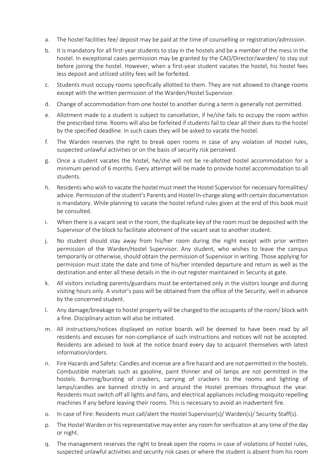- a. The hostel facilities fee/ deposit may be paid at the time of counselling or registration/admission.
- b. It is mandatory for all first-year students to stay in the hostels and be a member of the mess in the hostel. In exceptional cases permission may be granted by the CAO/Director/warden/ to stay out before joining the hostel. However, when a first-year student vacates the hostel, his hostel fees less deposit and utilized utility fees will be forfeited.
- c. Students must occupy rooms specifically allotted to them. They are not allowed to change rooms except with the written permission of the Warden/Hostel Supervisor.
- d. Change of accommodation from one hostel to another during a term is generally not permitted.
- e. Allotment made to a student is subject to cancellation, if he/she fails to occupy the room within the prescribed time. Rooms will also be forfeited if students fail to clear all their dues to the hostel by the specified deadline. In such cases they will be asked to vacate the hostel.
- f. The Warden reserves the right to break open rooms in case of any violation of Hostel rules, suspected unlawful activities or on the basis of security risk perceived.
- g. Once a student vacates the hostel, he/she will not be re-allotted hostel accommodation for a minimum period of 6 months. Every attempt will be made to provide hostel accommodation to all students.
- h. Residents who wish to vacate the hostel must meet the Hostel Supervisor for necessary formalities/ advice. Permission of the student's Parents and Hostel In-charge along with certain documentation is mandatory. While planning to vacate the hostel refund rules given at the end of this book must be consulted.
- i. When there is a vacant seat in the room, the duplicate key of the room must be deposited with the Supervisor of the block to facilitate allotment of the vacant seat to another student.
- j. No student should stay away from his/her room during the night except with prior written permission of the Warden/Hostel Supervisor. Any student, who wishes to leave the campus temporarily or otherwise, should obtain the permission of Supervisor in writing. Those applying for permission must state the date and time of his/her intended departure and return as well as the destination and enter all these details in the in-out register maintained in Security at gate.
- k. All visitors including parents/guardians must be entertained only in the visitors lounge and during visiting hours only. A visitor's pass will be obtained from the office of the Security, well in advance by the concerned student.
- l. Any damage/breakage to hostel property will be charged to the occupants of the room/ block with a fine. Disciplinary action will also be initiated.
- m. All instructions/notices displayed on notice boards will be deemed to have been read by all residents and excuses for non-compliance of such instructions and notices will not be accepted. Residents are advised to look at the notice board every day to acquaint themselves with latest information/orders.
- n. Fire Hazards and Safety: Candles and incense are a fire hazard and are not permitted in the hostels. Combustible materials such as gasoline, paint thinner and oil lamps are not permitted in the hostels. Burning/bursting of crackers, carrying of crackers to the rooms and lighting of lamps/candles are banned strictly in and around the Hostel premises throughout the year. Residents must switch off all lights and fans, and electrical appliances including mosquito repelling machines if any before leaving their rooms. This is necessary to avoid an inadvertent fire.
- o. In case of Fire: Residents must call/alert the Hostel Supervisor(s)/ Warden(s)/ Security Staff(s).
- p. The Hostel Warden or his representative may enter any room for verification at any time of the day or night.
- q. The management reserves the right to break open the rooms in case of violations of hostel rules, suspected unlawful activities and security risk cases or where the student is absent from his room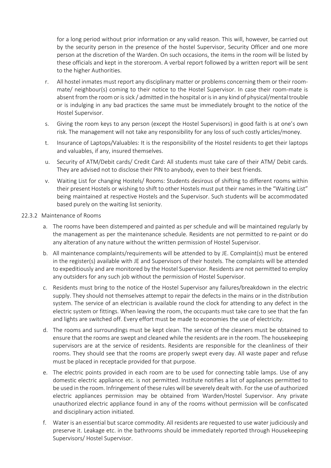for a long period without prior information or any valid reason. This will, however, be carried out by the security person in the presence of the hostel Supervisor, Security Officer and one more person at the discretion of the Warden. On such occasions, the items in the room will be listed by these officials and kept in the storeroom. A verbal report followed by a written report will be sent to the higher Authorities.

- r. All hostel inmates must report any disciplinary matter or problems concerning them or their roommate/ neighbour(s) coming to their notice to the Hostel Supervisor. In case their room-mate is absent from the room or is sick / admitted in the hospital or is in any kind of physical/mental trouble or is indulging in any bad practices the same must be immediately brought to the notice of the Hostel Supervisor.
- s. Giving the room keys to any person (except the Hostel Supervisors) in good faith is at one's own risk. The management will not take any responsibility for any loss of such costly articles/money.
- t. Insurance of Laptops/Valuables: It is the responsibility of the Hostel residents to get their laptops and valuables, if any, insured themselves.
- u. Security of ATM/Debit cards/ Credit Card: All students must take care of their ATM/ Debit cards. They are advised not to disclose their PIN to anybody, even to their best friends.
- v. Waiting List for changing Hostels/ Rooms: Students desirous of shifting to different rooms within their present Hostels or wishing to shift to other Hostels must put their names in the "Waiting List" being maintained at respective Hostels and the Supervisor. Such students will be accommodated based purely on the waiting list seniority.

#### 22.3.2 Maintenance of Rooms

- a. The rooms have been distempered and painted as per schedule and will be maintained regularly by the management as per the maintenance schedule. Residents are not permitted to re-paint or do any alteration of any nature without the written permission of Hostel Supervisor.
- b. All maintenance complaints/requirements will be attended to by JE. Complaint(s) must be entered in the register(s) available with JE and Supervisors of their hostels. The complaints will be attended to expeditiously and are monitored by the Hostel Supervisor. Residents are not permitted to employ any outsiders for any such job without the permission of Hostel Supervisor.
- c. Residents must bring to the notice of the Hostel Supervisor any failures/breakdown in the electric supply. They should not themselves attempt to repair the defects in the mains or in the distribution system. The service of an electrician is available round the clock for attending to any defect in the electric system or fittings. When leaving the room, the occupants must take care to see that the fan and lights are switched off. Every effort must be made to economies the use of electricity.
- d. The rooms and surroundings must be kept clean. The service of the cleaners must be obtained to ensure that the rooms are swept and cleaned while the residents are in the room. The housekeeping supervisors are at the service of residents. Residents are responsible for the cleanliness of their rooms. They should see that the rooms are properly swept every day. All waste paper and refuse must be placed in receptacle provided for that purpose.
- e. The electric points provided in each room are to be used for connecting table lamps. Use of any domestic electric appliance etc. is not permitted. Institute notifies a list of appliances permitted to be used in the room. Infringement of these rules will be severely dealt with. For the use of authorized electric appliances permission may be obtained from Warden/Hostel Supervisor. Any private unauthorized electric appliance found in any of the rooms without permission will be confiscated and disciplinary action initiated.
- f. Water is an essential but scarce commodity. All residents are requested to use water judiciously and preserve it. Leakage etc. in the bathrooms should be immediately reported through Housekeeping Supervisors/ Hostel Supervisor.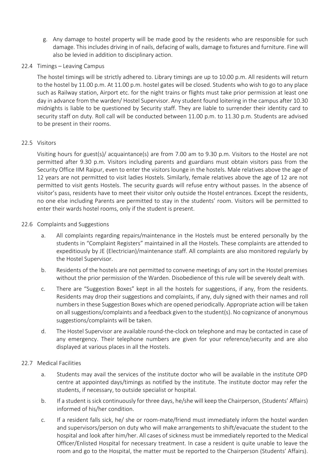- g. Any damage to hostel property will be made good by the residents who are responsible for such damage. This includes driving in of nails, defacing of walls, damage to fixtures and furniture. Fine will also be levied in addition to disciplinary action.
- 22.4 Timings Leaving Campus

The hostel timings will be strictly adhered to. Library timings are up to 10.00 p.m. All residents will return to the hostel by 11.00 p.m. At 11.00 p.m. hostel gates will be closed. Students who wish to go to any place such as Railway station, Airport etc. for the night trains or flights must take prior permission at least one day in advance from the warden/ Hostel Supervisor. Any student found loitering in the campus after 10.30 midnights is liable to be questioned by Security staff. They are liable to surrender their identity card to security staff on duty. Roll call will be conducted between 11.00 p.m. to 11.30 p.m. Students are advised to be present in their rooms.

#### 22.5 Visitors

Visiting hours for guest(s)/ acquaintance(s) are from 7.00 am to 9.30 p.m. Visitors to the Hostel are not permitted after 9.30 p.m. Visitors including parents and guardians must obtain visitors pass from the Security Office IIM Raipur, even to enter the visitors lounge in the hostels. Male relatives above the age of 12 years are not permitted to visit ladies Hostels. Similarly, female relatives above the age of 12 are not permitted to visit gents Hostels. The security guards will refuse entry without passes. In the absence of visitor's pass, residents have to meet their visitor only outside the Hostel entrances. Except the residents, no one else including Parents are permitted to stay in the students' room. Visitors will be permitted to enter their wards hostel rooms, only if the student is present.

#### 22.6 Complaints and Suggestions

- a. All complaints regarding repairs/maintenance in the Hostels must be entered personally by the students in "Complaint Registers" maintained in all the Hostels. These complaints are attended to expeditiously by JE (Electrician)/maintenance staff. All complaints are also monitored regularly by the Hostel Supervisor.
- b. Residents of the hostels are not permitted to convene meetings of any sort in the Hostel premises without the prior permission of the Warden. Disobedience of this rule will be severely dealt with.
- c. There are "Suggestion Boxes" kept in all the hostels for suggestions, if any, from the residents. Residents may drop their suggestions and complaints, if any, duly signed with their names and roll numbers in these Suggestion Boxes which are opened periodically. Appropriate action will be taken on all suggestions/complaints and a feedback given to the student(s). No cognizance of anonymous suggestions/complaints will be taken.
- d. The Hostel Supervisor are available round-the-clock on telephone and may be contacted in case of any emergency. Their telephone numbers are given for your reference/security and are also displayed at various places in all the Hostels.

#### 22.7 Medical Facilities

- a. Students may avail the services of the institute doctor who will be available in the institute OPD centre at appointed days/timings as notified by the institute. The institute doctor may refer the students, if necessary, to outside specialist or hospital.
- b. If a student is sick continuously for three days, he/she will keep the Chairperson, (Students' Affairs) informed of his/her condition.
- c. If a resident falls sick, he/ she or room-mate/friend must immediately inform the hostel warden and supervisors/person on duty who will make arrangements to shift/evacuate the student to the hospital and look after him/her. All cases of sickness must be immediately reported to the Medical Officer/Enlisted Hospital for necessary treatment. In case a resident is quite unable to leave the room and go to the Hospital, the matter must be reported to the Chairperson (Students' Affairs).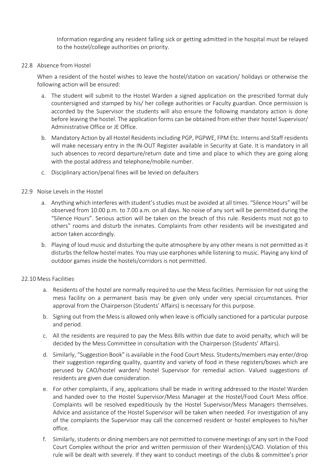Information regarding any resident falling sick or getting admitted in the hospital must be relayed to the hostel/college authorities on priority.

#### 22.8 Absence from Hostel

When a resident of the hostel wishes to leave the hostel/station on vacation/ holidays or otherwise the following action will be ensured:

- a. The student will submit to the Hostel Warden a signed application on the prescribed format duly countersigned and stamped by his/ her college authorities or Faculty guardian. Once permission is accorded by the Supervisor the students will also ensure the following mandatory action is done before leaving the hostel. The application forms can be obtained from either their hostel Supervisor/ Administrative Office or JE Office.
- b. Mandatory Action by all Hostel Residents including PGP, PGPWE, FPM Etc. Interns and Staff residents will make necessary entry in the IN-OUT Register available in Security at Gate. It is mandatory in all such absences to record departure/return date and time and place to which they are going along with the postal address and telephone/mobile number.
- c. Disciplinary action/penal fines will be levied on defaulters

#### 22.9 Noise Levels in the Hostel

- a. Anything which interferes with student's studies must be avoided at all times. "Silence Hours" will be observed from 10.00 p.m. to 7.00 a.m. on all days. No noise of any sort will be permitted during the "Silence Hours". Serious action will be taken on the breach of this rule. Residents must not go to others" rooms and disturb the inmates. Complaints from other residents will be investigated and action taken accordingly.
- b. Playing of loud music and disturbing the quite atmosphere by any other means is not permitted as it disturbs the fellow hostel mates. You may use earphones while listening to music. Playing any kind of outdoor games inside the hostels/corridors is not permitted.

#### 22.10 Mess Facilities

- a. Residents of the hostel are normally required to use the Mess facilities. Permission for not using the mess facility on a permanent basis may be given only under very special circumstances. Prior approval from the Chairperson (Students' Affairs) is necessary for this purpose.
- b. Signing out from the Mess is allowed only when leave is officially sanctioned for a particular purpose and period.
- c. All the residents are required to pay the Mess Bills within due date to avoid penalty, which will be decided by the Mess Committee in consultation with the Chairperson (Students' Affairs).
- d. Similarly, "Suggestion Book" is available in the Food Court Mess. Students/members may enter/drop their suggestion regarding quality, quantity and variety of food in these registers/boxes which are perused by CAO/hostel warden/ hostel Supervisor for remedial action. Valued suggestions of residents are given due consideration.
- e. For other complaints, if any, applications shall be made in writing addressed to the Hostel Warden and handed over to the Hostel Supervisor/Mess Manager at the Hostel/Food Court Mess office. Complaints will be resolved expeditiously by the Hostel Supervisor/Mess Managers themselves. Advice and assistance of the Hostel Supervisor will be taken when needed. For investigation of any of the complaints the Supervisor may call the concerned resident or hostel employees to his/her office.
- f. Similarly, students or dining members are not permitted to convene meetings of any sort in the Food Court Complex without the prior and written permission of their Warden(s)/CAO. Violation of this rule will be dealt with severely. If they want to conduct meetings of the clubs & committee's prior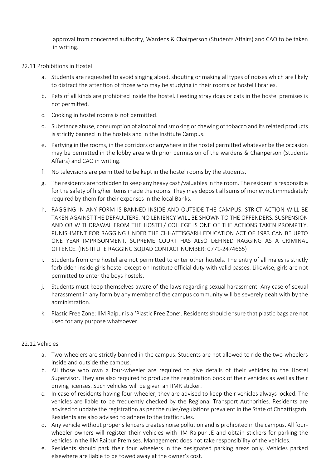approval from concerned authority, Wardens & Chairperson (Students Affairs) and CAO to be taken in writing.

#### 22.11 Prohibitions in Hostel

- a. Students are requested to avoid singing aloud, shouting or making all types of noises which are likely to distract the attention of those who may be studying in their rooms or hostel libraries.
- b. Pets of all kinds are prohibited inside the hostel. Feeding stray dogs or cats in the hostel premises is not permitted.
- c. Cooking in hostel rooms is not permitted.
- d. Substance abuse, consumption of alcohol and smoking or chewing of tobacco and its related products is strictly banned in the hostels and in the Institute Campus.
- e. Partying in the rooms, in the corridors or anywhere in the hostel permitted whatever be the occasion may be permitted in the lobby area with prior permission of the wardens & Chairperson (Students Affairs) and CAO in writing.
- f. No televisions are permitted to be kept in the hostel rooms by the students.
- g. The residents are forbidden to keep any heavy cash/valuables in the room. The resident is responsible for the safety of his/her items inside the rooms. They may deposit all sums of money not immediately required by them for their expenses in the local Banks.
- h. RAGGING IN ANY FORM IS BANNED INSIDE AND OUTSIDE THE CAMPUS. STRICT ACTION WILL BE TAKEN AGAINST THE DEFAULTERS. NO LENIENCY WILL BE SHOWN TO THE OFFENDERS. SUSPENSION AND OR WITHDRAWAL FROM THE HOSTEL/ COLLEGE IS ONE OF THE ACTIONS TAKEN PROMPTLY. PUNISHMENT FOR RAGGING UNDER THE CHHATTISGARH EDUCATION ACT OF 1983 CAN BE UPTO ONE YEAR IMPRISONMENT. SUPREME COURT HAS ALSO DEFINED RAGGING AS A CRIMINAL OFFENCE. (INSTITUTE RAGGING SQUAD CONTACT NUMBER: 0771-2474665)
- i. Students from one hostel are not permitted to enter other hostels. The entry of all males is strictly forbidden inside girls hostel except on Institute official duty with valid passes. Likewise, girls are not permitted to enter the boys hostels.
- j. Students must keep themselves aware of the laws regarding sexual harassment. Any case of sexual harassment in any form by any member of the campus community will be severely dealt with by the administration.
- k. Plastic Free Zone: IIM Raipur is a 'Plastic Free Zone'. Residents should ensure that plastic bags are not used for any purpose whatsoever.

#### 22.12 Vehicles

- a. Two-wheelers are strictly banned in the campus. Students are not allowed to ride the two-wheelers inside and outside the campus.
- b. All those who own a four-wheeler are required to give details of their vehicles to the Hostel Supervisor. They are also required to produce the registration book of their vehicles as well as their driving licenses. Such vehicles will be given an IIMR sticker.
- c. In case of residents having four-wheeler, they are advised to keep their vehicles always locked. The vehicles are liable to be frequently checked by the Regional Transport Authorities. Residents are advised to update the registration as per the rules/regulations prevalent in the State of Chhattisgarh. Residents are also advised to adhere to the traffic rules.
- d. Any vehicle without proper silencers creates noise pollution and is prohibited in the campus. All fourwheeler owners will register their vehicles with IIM Raipur JE and obtain stickers for parking the vehicles in the IIM Raipur Premises. Management does not take responsibility of the vehicles.
- e. Residents should park their four wheelers in the designated parking areas only. Vehicles parked elsewhere are liable to be towed away at the owner's cost.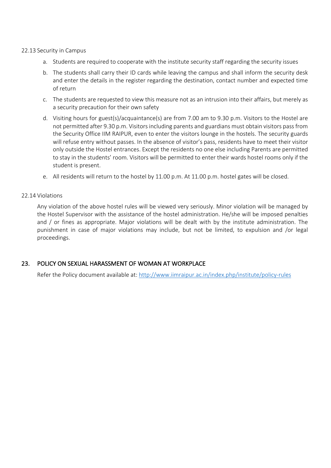#### 22.13 Security in Campus

- a. Students are required to cooperate with the institute security staff regarding the security issues
- b. The students shall carry their ID cards while leaving the campus and shall inform the security desk and enter the details in the register regarding the destination, contact number and expected time of return
- c. The students are requested to view this measure not as an intrusion into their affairs, but merely as a security precaution for their own safety
- d. Visiting hours for guest(s)/acquaintance(s) are from 7.00 am to 9.30 p.m. Visitors to the Hostel are not permitted after 9.30 p.m. Visitors including parents and guardians must obtain visitors pass from the Security Office IIM RAIPUR, even to enter the visitors lounge in the hostels. The security guards will refuse entry without passes. In the absence of visitor's pass, residents have to meet their visitor only outside the Hostel entrances. Except the residents no one else including Parents are permitted to stay in the students' room. Visitors will be permitted to enter their wards hostel rooms only if the student is present.
- e. All residents will return to the hostel by 11.00 p.m. At 11.00 p.m. hostel gates will be closed.

#### 22.14 Violations

Any violation of the above hostel rules will be viewed very seriously. Minor violation will be managed by the Hostel Supervisor with the assistance of the hostel administration. He/she will be imposed penalties and / or fines as appropriate. Major violations will be dealt with by the institute administration. The punishment in case of major violations may include, but not be limited, to expulsion and /or legal proceedings.

#### 23. POLICY ON SEXUAL HARASSMENT OF WOMAN AT WORKPLACE

Refer the Policy document available at: http://www.iimraipur.ac.in/index.php/institute/policy-rules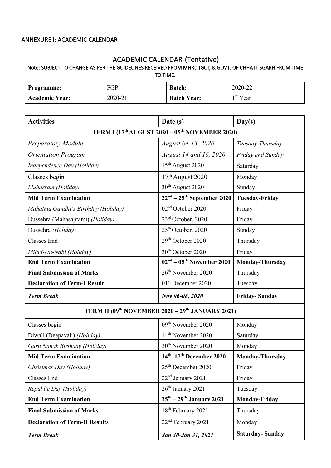#### ANNEXURE I: ACADEMIC CALENDAR

## ACADEMIC CALENDAR-(Tentative)<br>Note: SUBJECT TO CHANGE AS PER THE GUIDELINES RECEIVED FROM MHRD (GOI) & GOVT. OF CHHATTISGARH FROM TIME TO TIME.

| <b>Programme:</b>     | PGP     | <b>Batch:</b>      | 2020-22    |
|-----------------------|---------|--------------------|------------|
| <b>Academic Year:</b> | 2020-21 | <b>Batch Year:</b> | $1st$ Year |

| <b>Activities</b>                                                      | Date (s)                                                                 | Day(s)                 |  |  |  |  |
|------------------------------------------------------------------------|--------------------------------------------------------------------------|------------------------|--|--|--|--|
| TERM I (17 <sup>th</sup> AUGUST 2020 – 05 <sup>th</sup> NOVEMBER 2020) |                                                                          |                        |  |  |  |  |
| <b>Preparatory Module</b>                                              | August 04-13, 2020                                                       | Tuesday-Thursday       |  |  |  |  |
| <b>Orientation Program</b>                                             | August 14 and 16, 2020                                                   | Friday and Sunday      |  |  |  |  |
| Independence Day (Holiday)                                             | 15 <sup>th</sup> August 2020                                             | Saturday               |  |  |  |  |
| Classes begin                                                          | $17th$ August 2020                                                       | Monday                 |  |  |  |  |
| Muharram (Holiday)                                                     | 30 <sup>th</sup> August 2020                                             | Sunday                 |  |  |  |  |
| <b>Mid Term Examination</b>                                            | $22nd - 25th$ September 2020                                             | <b>Tuesday-Friday</b>  |  |  |  |  |
| Mahatma Gandhi's Birthday (Holiday)                                    | 02 <sup>nd</sup> October 2020                                            | Friday                 |  |  |  |  |
| Dussehra (Mahasaptami) (Holiday)                                       | 23 <sup>rd</sup> October, 2020                                           | Friday                 |  |  |  |  |
| Dussehra (Holiday)                                                     | 25 <sup>th</sup> October, 2020                                           | Sunday                 |  |  |  |  |
| <b>Classes End</b>                                                     | 29 <sup>th</sup> October 2020                                            | Thursday               |  |  |  |  |
| Milad-Un-Nabi (Holiday)                                                | 30 <sup>th</sup> October 2020                                            | Friday                 |  |  |  |  |
| <b>End Term Examination</b>                                            | $02nd - 05th$ November 2020                                              | <b>Monday-Thursday</b> |  |  |  |  |
| <b>Final Submission of Marks</b>                                       | 26 <sup>th</sup> November 2020                                           | Thursday               |  |  |  |  |
| <b>Declaration of Term-I Result</b>                                    | 01 <sup>st</sup> December 2020                                           | Tuesday                |  |  |  |  |
| <b>Term Break</b>                                                      | Nov 06-08, 2020                                                          | <b>Friday-Sunday</b>   |  |  |  |  |
|                                                                        | TERM II (09 <sup>th</sup> NOVEMBER 2020 - 29 <sup>th</sup> JANUARY 2021) |                        |  |  |  |  |
| Classes begin                                                          | 09 <sup>th</sup> November 2020                                           | Monday                 |  |  |  |  |
| Diwali (Deepavali) (Holiday)                                           | 14 <sup>th</sup> November 2020                                           | Saturday               |  |  |  |  |
| Guru Nanak Birthday (Holiday)                                          | 30 <sup>th</sup> November 2020                                           | Monday                 |  |  |  |  |
| <b>Mid Term Examination</b>                                            | $14th-17th$ December 2020                                                | <b>Monday-Thursday</b> |  |  |  |  |
| Christmas Day (Holiday)                                                | 25 <sup>th</sup> December 2020                                           | Friday                 |  |  |  |  |
| Classes End                                                            | 22 <sup>nd</sup> January 2021                                            | Friday                 |  |  |  |  |
| Republic Day (Holiday)                                                 | 26 <sup>th</sup> January 2021                                            | Tuesday                |  |  |  |  |
| <b>End Term Examination</b>                                            | $25^{\text{th}} - 29^{\text{th}}$ January 2021                           | <b>Monday-Friday</b>   |  |  |  |  |
| <b>Final Submission of Marks</b>                                       | 18 <sup>th</sup> February 2021                                           | Thursday               |  |  |  |  |
| <b>Declaration of Term-II Results</b>                                  | 22 <sup>nd</sup> February 2021                                           | Monday                 |  |  |  |  |
| <b>Term Break</b>                                                      | Jan 30-Jan 31, 2021                                                      | <b>Saturday-Sunday</b> |  |  |  |  |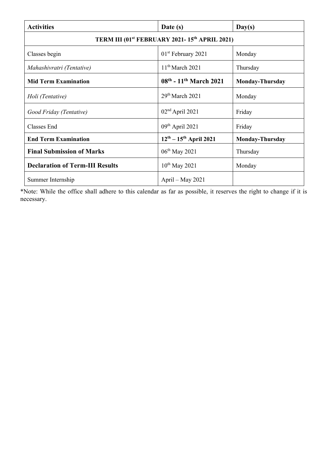| <b>Activities</b>                                                     | Date (s)                       | Day(s)                 |  |  |  |  |
|-----------------------------------------------------------------------|--------------------------------|------------------------|--|--|--|--|
| TERM III (01 <sup>st</sup> FEBRUARY 2021-15 <sup>th</sup> APRIL 2021) |                                |                        |  |  |  |  |
| Classes begin                                                         | 01 <sup>st</sup> February 2021 | Monday                 |  |  |  |  |
| Mahashivratri (Tentative)                                             | $11th$ March 2021              | Thursday               |  |  |  |  |
| <b>Mid Term Examination</b>                                           | 08th - 11th March 2021         | <b>Monday-Thursday</b> |  |  |  |  |
| Holi (Tentative)                                                      | $29th$ March 2021              | Monday                 |  |  |  |  |
| Good Friday (Tentative)                                               | $02nd$ April 2021              | Friday                 |  |  |  |  |
| Classes End                                                           | $09th$ April 2021              | Friday                 |  |  |  |  |
| <b>End Term Examination</b>                                           | $12^{th} - 15^{th}$ April 2021 | <b>Monday-Thursday</b> |  |  |  |  |
| <b>Final Submission of Marks</b>                                      | $06^{th}$ May 2021             | Thursday               |  |  |  |  |
| <b>Declaration of Term-III Results</b>                                | $10^{th}$ May 2021             | Monday                 |  |  |  |  |
| Summer Internship                                                     | April – May 2021               |                        |  |  |  |  |

\*Note: While the office shall adhere to this calendar as far as possible, it reserves the right to change if it is necessary.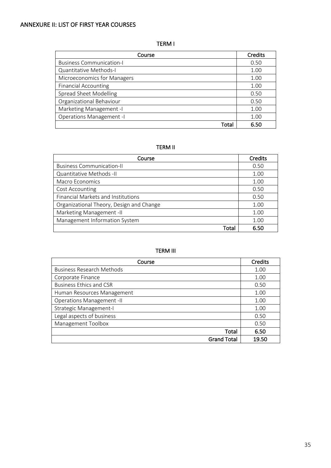#### ANNEXURE II: LIST OF FIRST YEAR COURSES

#### TERM I

| Course                          | <b>Credits</b> |
|---------------------------------|----------------|
| <b>Business Communication-I</b> | 0.50           |
| Quantitative Methods-I          | 1.00           |
| Microeconomics for Managers     | 1.00           |
| <b>Financial Accounting</b>     | 1.00           |
| <b>Spread Sheet Modelling</b>   | 0.50           |
| Organizational Behaviour        | 0.50           |
| Marketing Management -I         | 1.00           |
| <b>Operations Management -I</b> | 1.00           |
| Tota                            | 6.50           |

#### TERM II

| Course                                   | <b>Credits</b> |
|------------------------------------------|----------------|
| <b>Business Communication-II</b>         | 0.50           |
| Quantitative Methods -II                 | 1.00           |
| Macro Economics                          | 1.00           |
| Cost Accounting                          | 0.50           |
| Financial Markets and Institutions       | 0.50           |
| Organizational Theory, Design and Change | 1.00           |
| Marketing Management -II                 | 1.00           |
| Management Information System            | 1.00           |
| Tota                                     | 6.50           |

#### TERM III

| Course                           | Credits |
|----------------------------------|---------|
| <b>Business Research Methods</b> | 1.00    |
| Corporate Finance                | 1.00    |
| <b>Business Ethics and CSR</b>   | 0.50    |
| Human Resources Management       | 1.00    |
| <b>Operations Management -II</b> | 1.00    |
| Strategic Management-I           | 1.00    |
| Legal aspects of business        | 0.50    |
| Management Toolbox               | 0.50    |
| Total                            | 6.50    |
| <b>Grand Total</b>               | 19.50   |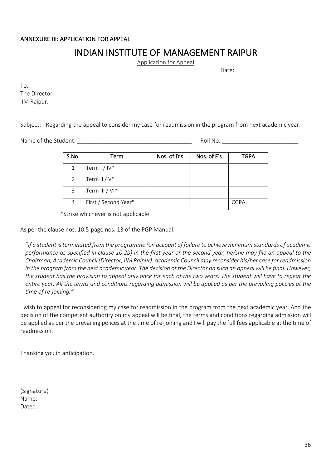# INDIAN INSTITUTE OF MANAGEMENT RAIPUR<br>Application for Appeal

Date:

To, The Director, IIM Raipur.

Subject: - Regarding the appeal to consider my case for readmission in the program from next academic year.

Name of the Student:  $\blacksquare$ 

| S.No. | Term                 | Nos. of D's | Nos. of F's | <b>TGPA</b> |
|-------|----------------------|-------------|-------------|-------------|
| 1     | Term $1/10*$         |             |             |             |
| 2     | Term II / $V^*$      |             |             |             |
| 3     | Term III / VI*       |             |             |             |
| 4     | First / Second Year* |             |             | CGPA:       |

\*Strike whichever is not applicable

As per the clause nos. 10.5-page nos. 13 of the PGP Manual:

"*If a student is terminated from the programme (on account of failure to achieve minimum standards of academic performance as specified in clause 10.2b) in the first year or the second year, he/she may file an appeal to the Chairman, Academic Council (Director, IIM Raipur). Academic Council may reconsider his/her case for readmission in the program from the next academic year. The decision of the Director on such an appeal will be final. However,*  the student has the provision to appeal only once for each of the two years. The student will have to repeat the *entire year. All the terms and conditions regarding admission will be applied as per the prevailing policies at the time of re-joining."*

I wish to appeal for reconsidering my case for readmission in the program from the next academic year. And the decision of the competent authority on my appeal will be final, the terms and conditions regarding admission will be applied as per the prevailing polices at the time of re-joining and I will pay the full fees applicable at the time of readmission.

Thanking you in anticipation.

(Signature) Name: Dated: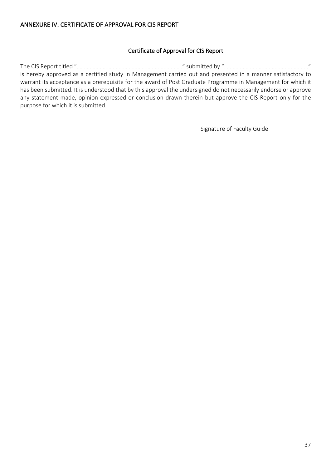#### Certificate of Approval for CIS Report

The CIS Report titled "…………………………………………………….…………" submitted by "………………………………………..……….." is hereby approved as a certified study in Management carried out and presented in a manner satisfactory to warrant its acceptance as a prerequisite for the award of Post Graduate Programme in Management for which it has been submitted. It is understood that by this approval the undersigned do not necessarily endorse or approve any statement made, opinion expressed or conclusion drawn therein but approve the CIS Report only for the purpose for which it is submitted.

Signature of Faculty Guide